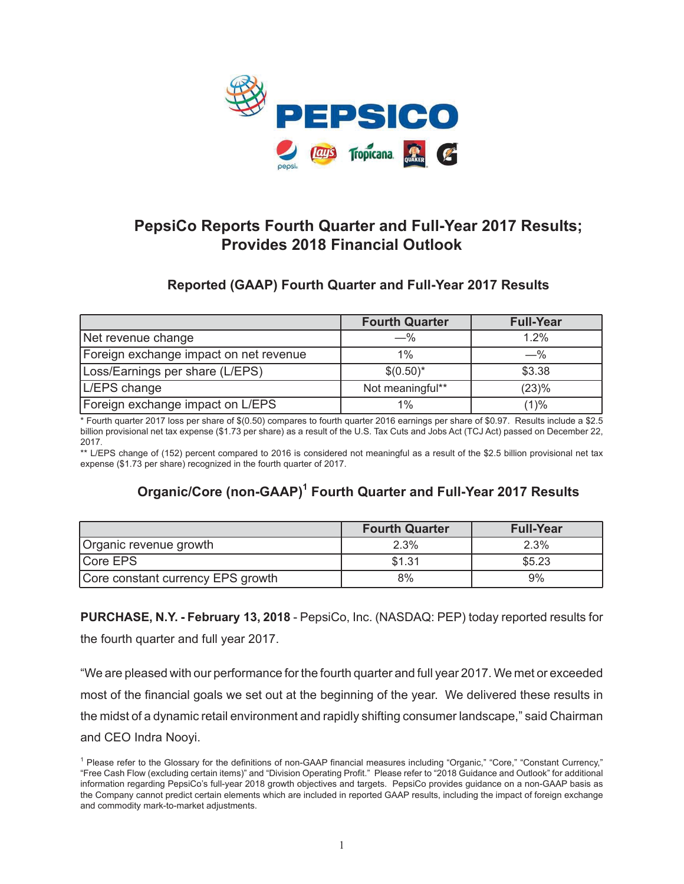

# **PepsiCo Reports Fourth Quarter and Full-Year 2017 Results; Provides 2018 Financial Outlook**

# **Reported (GAAP) Fourth Quarter and Full-Year 2017 Results**

|                                        | <b>Fourth Quarter</b> | <b>Full-Year</b> |
|----------------------------------------|-----------------------|------------------|
| Net revenue change                     | $-$ %                 | 1.2%             |
| Foreign exchange impact on net revenue | $1\%$                 | $-\%$            |
| Loss/Earnings per share (L/EPS)        | $$(0.50)*$            | \$3.38           |
| L/EPS change                           | Not meaningful**      | (23)%            |
| Foreign exchange impact on L/EPS       | $1\%$                 | (1)%             |

\* Fourth quarter 2017 loss per share of \$(0.50) compares to fourth quarter 2016 earnings per share of \$0.97. Results include a \$2.5 billion provisional net tax expense (\$1.73 per share) as a result of the U.S. Tax Cuts and Jobs Act (TCJ Act) passed on December 22, 2017.

\*\* L/EPS change of (152) percent compared to 2016 is considered not meaningful as a result of the \$2.5 billion provisional net tax expense (\$1.73 per share) recognized in the fourth quarter of 2017.

# **Organic/Core (non-GAAP)1 Fourth Quarter and Full-Year 2017 Results**

|                                   | <b>Fourth Quarter</b> | <b>Full-Year</b> |
|-----------------------------------|-----------------------|------------------|
| Organic revenue growth            | $2.3\%$               | 2.3%             |
| Core EPS                          | \$1.31                | \$5.23           |
| Core constant currency EPS growth | 8%                    | 9%               |

**PURCHASE, N.Y. - February 13, 2018** - PepsiCo, Inc. (NASDAQ: PEP) today reported results for the fourth quarter and full year 2017.

"We are pleased with our performance for the fourth quarter and full year 2017. We met or exceeded most of the financial goals we set out at the beginning of the year. We delivered these results in the midst of a dynamic retail environment and rapidly shifting consumer landscape," said Chairman and CEO Indra Nooyi.

<sup>&</sup>lt;sup>1</sup> Please refer to the Glossary for the definitions of non-GAAP financial measures including "Organic," "Core," "Constant Currency," "Free Cash Flow (excluding certain items)" and "Division Operating Profit." Please refer to "2018 Guidance and Outlook" for additional information regarding PepsiCo's full-year 2018 growth objectives and targets. PepsiCo provides guidance on a non-GAAP basis as the Company cannot predict certain elements which are included in reported GAAP results, including the impact of foreign exchange and commodity mark-to-market adjustments.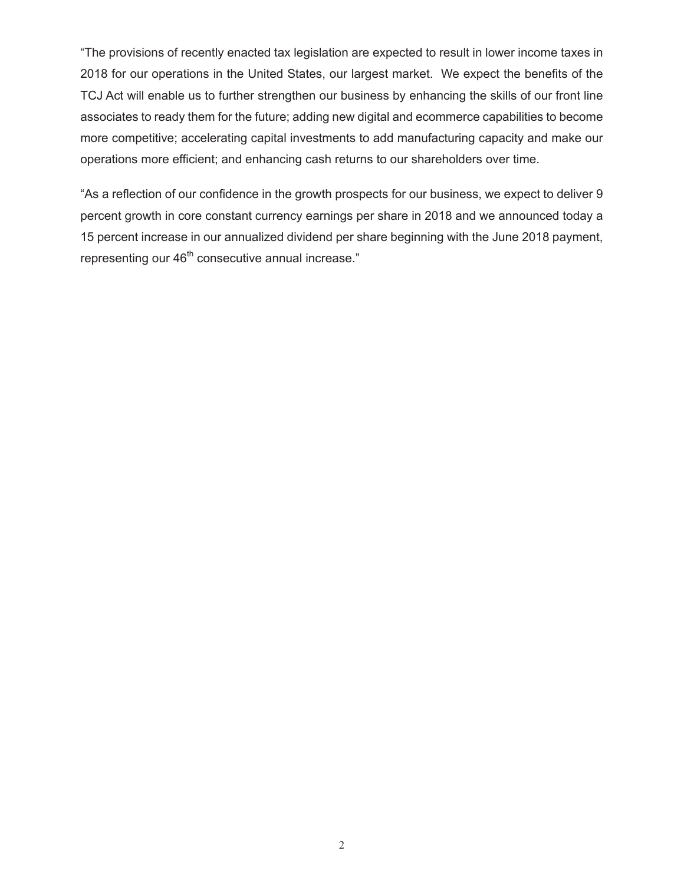"The provisions of recently enacted tax legislation are expected to result in lower income taxes in 2018 for our operations in the United States, our largest market. We expect the benefits of the TCJ Act will enable us to further strengthen our business by enhancing the skills of our front line associates to ready them for the future; adding new digital and ecommerce capabilities to become more competitive; accelerating capital investments to add manufacturing capacity and make our operations more efficient; and enhancing cash returns to our shareholders over time.

"As a reflection of our confidence in the growth prospects for our business, we expect to deliver 9 percent growth in core constant currency earnings per share in 2018 and we announced today a 15 percent increase in our annualized dividend per share beginning with the June 2018 payment, representing our 46<sup>th</sup> consecutive annual increase."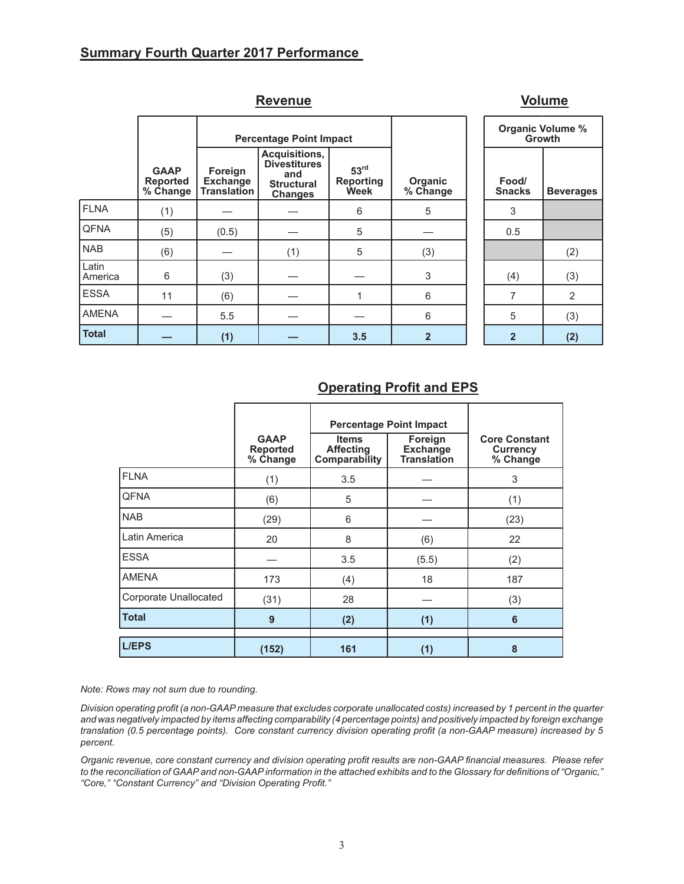## **Summary Fourth Quarter 2017 Performance**

|                  |                                            |                                                  | <b>Revenue</b>                                                                     |                                              |                           |                        | <b>Volume</b>  |
|------------------|--------------------------------------------|--------------------------------------------------|------------------------------------------------------------------------------------|----------------------------------------------|---------------------------|------------------------|----------------|
|                  |                                            |                                                  | <b>Percentage Point Impact</b>                                                     |                                              |                           | <b>Organic Volume</b>  | Growth         |
|                  | <b>GAAP</b><br><b>Reported</b><br>% Change | Foreign<br><b>Exchange</b><br><b>Translation</b> | Acquisitions,<br><b>Divestitures</b><br>and<br><b>Structural</b><br><b>Changes</b> | 53 <sup>rd</sup><br><b>Reporting</b><br>Week | Organic<br>% Change       | Food/<br><b>Snacks</b> | <b>Bevera</b>  |
| <b>FLNA</b>      | (1)                                        |                                                  |                                                                                    | 6                                            | 5                         | 3                      |                |
| <b>QFNA</b>      | (5)                                        | (0.5)                                            |                                                                                    | 5                                            |                           | 0.5                    |                |
| <b>NAB</b>       | (6)                                        |                                                  | (1)                                                                                | 5                                            | (3)                       |                        | (2)            |
| Latin<br>America | 6                                          | (3)                                              |                                                                                    |                                              | $\ensuremath{\mathsf{3}}$ | (4)                    | (3)            |
| <b>ESSA</b>      | 11                                         | (6)                                              |                                                                                    | 1                                            | 6                         | $\overline{7}$         | $\overline{2}$ |
| <b>AMENA</b>     |                                            | 5.5                                              |                                                                                    |                                              | 6                         | 5                      | (3)            |
| <b>Total</b>     |                                            | (1)                                              |                                                                                    | 3.5                                          | $\overline{2}$            | $\overline{2}$         | (2)            |

| Organic Volume %<br>Growth |                |  |  |  |  |  |  |
|----------------------------|----------------|--|--|--|--|--|--|
| Food/<br><b>Snacks</b>     | Beverages      |  |  |  |  |  |  |
| 3                          |                |  |  |  |  |  |  |
| 0.5                        |                |  |  |  |  |  |  |
|                            | (2)            |  |  |  |  |  |  |
| (4)                        | (3)            |  |  |  |  |  |  |
| 7                          | $\overline{2}$ |  |  |  |  |  |  |
| 5                          | (3)            |  |  |  |  |  |  |
| $\overline{2}$             | (2)            |  |  |  |  |  |  |

# **Operating Profit and EPS**

|                       | <b>GAAP</b><br><b>Reported</b><br>% Change | <b>Items</b><br><b>Affecting</b><br>Comparability | <b>Percentage Point Impact</b><br>Foreign<br><b>Exchange</b><br><b>Translation</b> | <b>Core Constant</b><br>Currency<br>% Change |
|-----------------------|--------------------------------------------|---------------------------------------------------|------------------------------------------------------------------------------------|----------------------------------------------|
| <b>FLNA</b>           | (1)                                        | 3.5                                               |                                                                                    | 3                                            |
| <b>QFNA</b>           | (6)                                        | 5                                                 |                                                                                    | (1)                                          |
| <b>NAB</b>            | (29)                                       | 6                                                 |                                                                                    | (23)                                         |
| Latin America         | 20                                         | 8                                                 | (6)                                                                                | 22                                           |
| <b>ESSA</b>           |                                            | 3.5                                               | (5.5)                                                                              | (2)                                          |
| <b>AMENA</b>          | 173                                        | (4)                                               | 18                                                                                 | 187                                          |
| Corporate Unallocated | (31)                                       | 28                                                |                                                                                    | (3)                                          |
| <b>Total</b>          | 9                                          | (2)                                               | (1)                                                                                | 6                                            |
| <b>L/EPS</b>          | (152)                                      | 161                                               | (1)                                                                                | 8                                            |

*Note: Rows may not sum due to rounding.*

*Division operating profit (a non-GAAP measure that excludes corporate unallocated costs) increased by 1 percent in the quarter and was negatively impacted by items affecting comparability (4 percentage points) and positively impacted by foreign exchange translation (0.5 percentage points). Core constant currency division operating profit (a non-GAAP measure) increased by 5 percent.*

*Organic revenue, core constant currency and division operating profit results are non-GAAP financial measures. Please refer to the reconciliation of GAAP and non-GAAP information in the attached exhibits and to the Glossary for definitions of "Organic," "Core," "Constant Currency" and "Division Operating Profit."*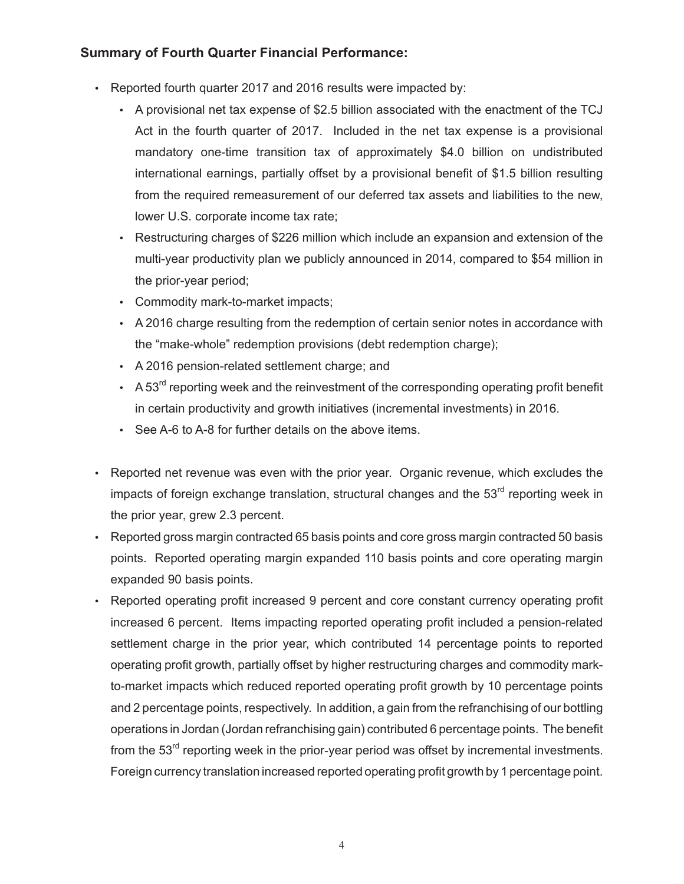## **Summary of Fourth Quarter Financial Performance:**

- Reported fourth quarter 2017 and 2016 results were impacted by:
	- A provisional net tax expense of \$2.5 billion associated with the enactment of the TCJ Act in the fourth quarter of 2017. Included in the net tax expense is a provisional mandatory one-time transition tax of approximately \$4.0 billion on undistributed international earnings, partially offset by a provisional benefit of \$1.5 billion resulting from the required remeasurement of our deferred tax assets and liabilities to the new, lower U.S. corporate income tax rate;
	- Restructuring charges of \$226 million which include an expansion and extension of the multi-year productivity plan we publicly announced in 2014, compared to \$54 million in the prior-year period;
	- Commodity mark-to-market impacts;
	- A 2016 charge resulting from the redemption of certain senior notes in accordance with the "make-whole" redemption provisions (debt redemption charge);
	- A 2016 pension-related settlement charge; and
	- A 53 $^{\text{rd}}$  reporting week and the reinvestment of the corresponding operating profit benefit in certain productivity and growth initiatives (incremental investments) in 2016.
	- See A-6 to A-8 for further details on the above items.
- Reported net revenue was even with the prior year. Organic revenue, which excludes the impacts of foreign exchange translation, structural changes and the  $53<sup>rd</sup>$  reporting week in the prior year, grew 2.3 percent.
- Reported gross margin contracted 65 basis points and core gross margin contracted 50 basis points. Reported operating margin expanded 110 basis points and core operating margin expanded 90 basis points.
- Reported operating profit increased 9 percent and core constant currency operating profit increased 6 percent. Items impacting reported operating profit included a pension-related settlement charge in the prior year, which contributed 14 percentage points to reported operating profit growth, partially offset by higher restructuring charges and commodity markto-market impacts which reduced reported operating profit growth by 10 percentage points and 2 percentage points, respectively. In addition, a gain from the refranchising of our bottling operations in Jordan (Jordan refranchising gain) contributed 6 percentage points. The benefit from the  $53<sup>rd</sup>$  reporting week in the prior-year period was offset by incremental investments. Foreign currency translation increased reported operating profit growth by 1 percentage point.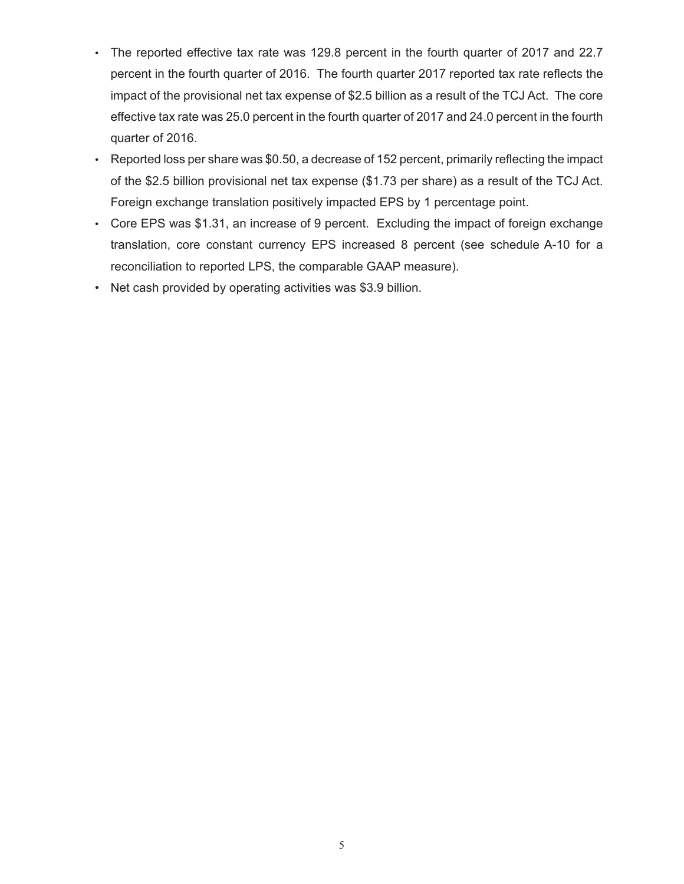- The reported effective tax rate was 129.8 percent in the fourth quarter of 2017 and 22.7 percent in the fourth quarter of 2016. The fourth quarter 2017 reported tax rate reflects the impact of the provisional net tax expense of \$2.5 billion as a result of the TCJ Act. The core effective tax rate was 25.0 percent in the fourth quarter of 2017 and 24.0 percent in the fourth quarter of 2016.
- Reported loss per share was \$0.50, a decrease of 152 percent, primarily reflecting the impact of the \$2.5 billion provisional net tax expense (\$1.73 per share) as a result of the TCJ Act. Foreign exchange translation positively impacted EPS by 1 percentage point.
- Core EPS was \$1.31, an increase of 9 percent. Excluding the impact of foreign exchange translation, core constant currency EPS increased 8 percent (see schedule A-10 for a reconciliation to reported LPS, the comparable GAAP measure).
- Net cash provided by operating activities was \$3.9 billion.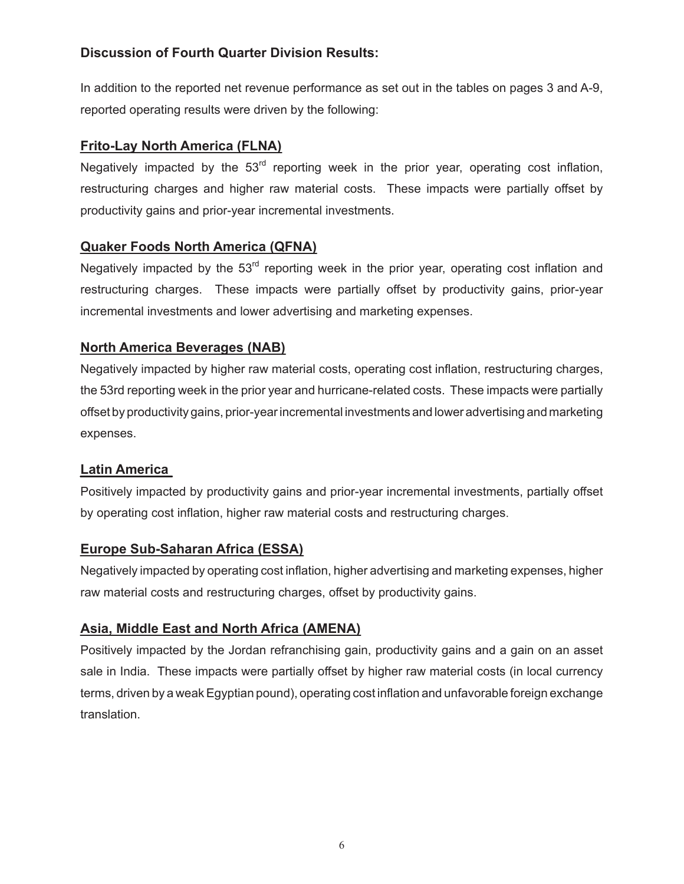# **Discussion of Fourth Quarter Division Results:**

In addition to the reported net revenue performance as set out in the tables on pages 3 and A-9, reported operating results were driven by the following:

# **Frito-Lay North America (FLNA)**

Negatively impacted by the  $53<sup>rd</sup>$  reporting week in the prior year, operating cost inflation, restructuring charges and higher raw material costs. These impacts were partially offset by productivity gains and prior-year incremental investments.

# **Quaker Foods North America (QFNA)**

Negatively impacted by the  $53<sup>rd</sup>$  reporting week in the prior year, operating cost inflation and restructuring charges. These impacts were partially offset by productivity gains, prior-year incremental investments and lower advertising and marketing expenses.

# **North America Beverages (NAB)**

Negatively impacted by higher raw material costs, operating cost inflation, restructuring charges, the 53rd reporting week in the prior year and hurricane-related costs. These impacts were partially offset by productivity gains, prior-year incremental investments and lower advertising and marketing expenses.

# **Latin America**

Positively impacted by productivity gains and prior-year incremental investments, partially offset by operating cost inflation, higher raw material costs and restructuring charges.

# **Europe Sub-Saharan Africa (ESSA)**

Negatively impacted by operating cost inflation, higher advertising and marketing expenses, higher raw material costs and restructuring charges, offset by productivity gains.

# **Asia, Middle East and North Africa (AMENA)**

Positively impacted by the Jordan refranchising gain, productivity gains and a gain on an asset sale in India. These impacts were partially offset by higher raw material costs (in local currency terms, driven by a weak Egyptian pound), operating cost inflation and unfavorable foreign exchange translation.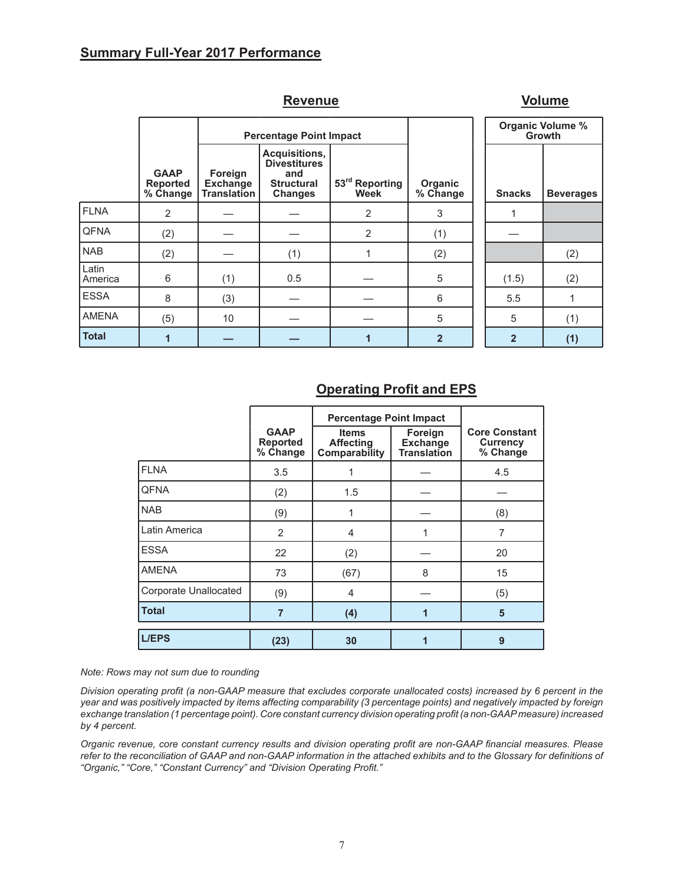## **Summary Full-Year 2017 Performance**

|                  |                                            |                                                  | <u></u>                                                                            |                        |                     |                                          | <u>.</u>         |
|------------------|--------------------------------------------|--------------------------------------------------|------------------------------------------------------------------------------------|------------------------|---------------------|------------------------------------------|------------------|
|                  |                                            |                                                  | <b>Percentage Point Impact</b>                                                     |                        |                     | <b>Organic Volume %</b><br><b>Growth</b> |                  |
|                  | <b>GAAP</b><br><b>Reported</b><br>% Change | Foreign<br><b>Exchange</b><br><b>Translation</b> | Acquisitions,<br><b>Divestitures</b><br>and<br><b>Structural</b><br><b>Changes</b> | 53rd Reporting<br>Week | Organic<br>% Change | <b>Snacks</b>                            | <b>Beverages</b> |
| <b>FLNA</b>      | 2                                          |                                                  |                                                                                    | 2                      | 3                   |                                          |                  |
| <b>QFNA</b>      | (2)                                        |                                                  |                                                                                    | 2                      | (1)                 |                                          |                  |
| <b>NAB</b>       | (2)                                        |                                                  | (1)                                                                                |                        | (2)                 |                                          | (2)              |
| Latin<br>America | 6                                          | (1)                                              | 0.5                                                                                |                        | 5                   | (1.5)                                    | (2)              |
| <b>ESSA</b>      | 8                                          | (3)                                              |                                                                                    |                        | 6                   | 5.5                                      |                  |
| <b>AMENA</b>     | (5)                                        | 10                                               |                                                                                    |                        | 5                   | 5                                        | (1)              |
| <b>Total</b>     | $\overline{1}$                             |                                                  |                                                                                    |                        | $\overline{2}$      | $\overline{2}$                           | (1)              |

# **Revenue Volume**

# **Operating Profit and EPS**

|                       |                                            | <b>Percentage Point Impact</b>                    |                                                  |                                                     |
|-----------------------|--------------------------------------------|---------------------------------------------------|--------------------------------------------------|-----------------------------------------------------|
|                       | <b>GAAP</b><br><b>Reported</b><br>% Change | <b>Items</b><br><b>Affecting</b><br>Comparability | Foreign<br><b>Exchange</b><br><b>Translation</b> | <b>Core Constant</b><br><b>Currency</b><br>% Change |
| <b>FLNA</b>           | 3.5                                        |                                                   |                                                  | 4.5                                                 |
| <b>QFNA</b>           | (2)                                        | 1.5                                               |                                                  |                                                     |
| <b>NAB</b>            | (9)                                        |                                                   |                                                  | (8)                                                 |
| Latin America         | 2                                          | $\overline{4}$                                    | 1                                                | $\overline{7}$                                      |
| <b>ESSA</b>           | 22                                         | (2)                                               |                                                  | 20                                                  |
| <b>AMENA</b>          | 73                                         | (67)                                              | 8                                                | 15                                                  |
| Corporate Unallocated | (9)                                        | 4                                                 |                                                  | (5)                                                 |
| <b>Total</b>          | 7                                          | (4)                                               | 1                                                | 5                                                   |
| <b>L/EPS</b>          | (23)                                       | 30                                                | 1                                                | 9                                                   |

*Note: Rows may not sum due to rounding*

*Division operating profit (a non-GAAP measure that excludes corporate unallocated costs) increased by 6 percent in the year and was positively impacted by items affecting comparability (3 percentage points) and negatively impacted by foreign exchange translation (1 percentage point). Core constant currency division operating profit (a non-GAAP measure) increased by 4 percent.*

*Organic revenue, core constant currency results and division operating profit are non-GAAP financial measures. Please refer to the reconciliation of GAAP and non-GAAP information in the attached exhibits and to the Glossary for definitions of "Organic," "Core," "Constant Currency" and "Division Operating Profit."*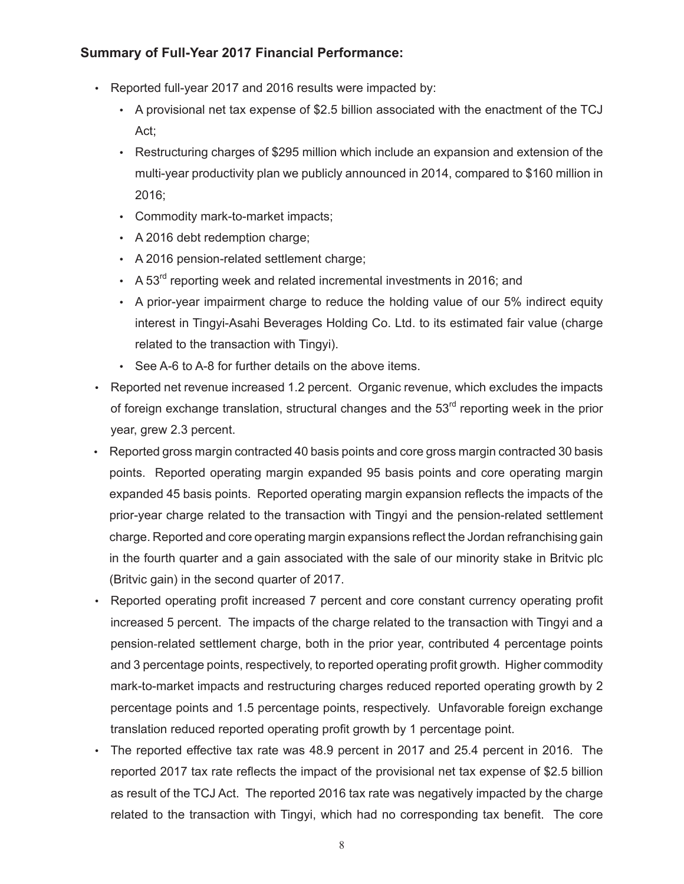## **Summary of Full-Year 2017 Financial Performance:**

- Reported full-year 2017 and 2016 results were impacted by:
	- A provisional net tax expense of \$2.5 billion associated with the enactment of the TCJ Act;
	- Restructuring charges of \$295 million which include an expansion and extension of the multi-year productivity plan we publicly announced in 2014, compared to \$160 million in 2016;
	- Commodity mark-to-market impacts;
	- A 2016 debt redemption charge;
	- A 2016 pension-related settlement charge;
	- A  $53<sup>rd</sup>$  reporting week and related incremental investments in 2016; and
	- A prior-year impairment charge to reduce the holding value of our 5% indirect equity interest in Tingyi-Asahi Beverages Holding Co. Ltd. to its estimated fair value (charge related to the transaction with Tingyi).
	- See A-6 to A-8 for further details on the above items.
- Reported net revenue increased 1.2 percent. Organic revenue, which excludes the impacts of foreign exchange translation, structural changes and the  $53<sup>rd</sup>$  reporting week in the prior year, grew 2.3 percent.
- Reported gross margin contracted 40 basis points and core gross margin contracted 30 basis points. Reported operating margin expanded 95 basis points and core operating margin expanded 45 basis points. Reported operating margin expansion reflects the impacts of the prior-year charge related to the transaction with Tingyi and the pension-related settlement charge. Reported and core operating margin expansions reflect the Jordan refranchising gain in the fourth quarter and a gain associated with the sale of our minority stake in Britvic plc (Britvic gain) in the second quarter of 2017.
- Reported operating profit increased 7 percent and core constant currency operating profit increased 5 percent. The impacts of the charge related to the transaction with Tingyi and a pension-related settlement charge, both in the prior year, contributed 4 percentage points and 3 percentage points, respectively, to reported operating profit growth. Higher commodity mark-to-market impacts and restructuring charges reduced reported operating growth by 2 percentage points and 1.5 percentage points, respectively. Unfavorable foreign exchange translation reduced reported operating profit growth by 1 percentage point.
- The reported effective tax rate was 48.9 percent in 2017 and 25.4 percent in 2016. The reported 2017 tax rate reflects the impact of the provisional net tax expense of \$2.5 billion as result of the TCJ Act. The reported 2016 tax rate was negatively impacted by the charge related to the transaction with Tingyi, which had no corresponding tax benefit. The core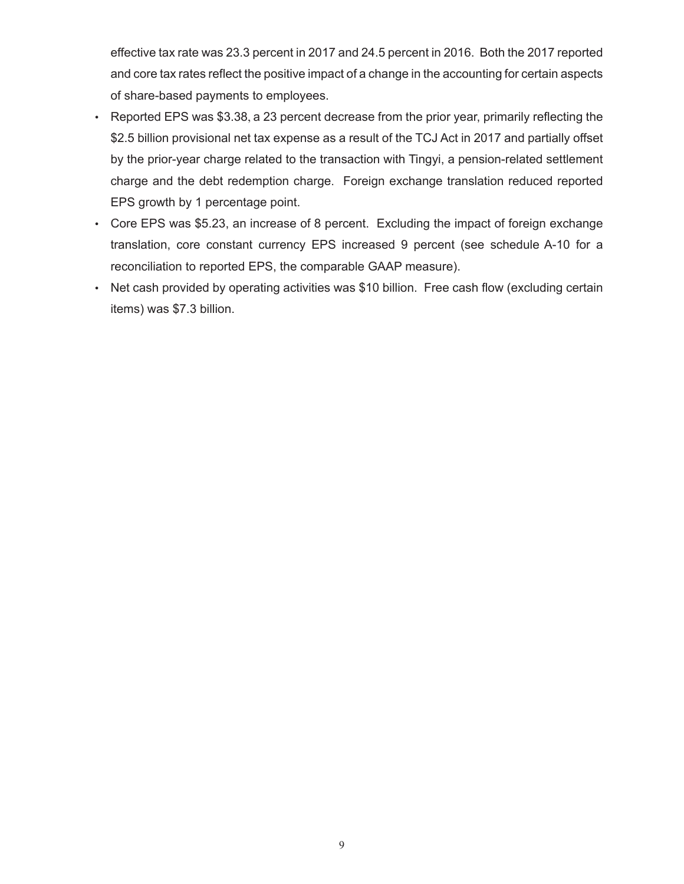effective tax rate was 23.3 percent in 2017 and 24.5 percent in 2016. Both the 2017 reported and core tax rates reflect the positive impact of a change in the accounting for certain aspects of share-based payments to employees.

- Reported EPS was \$3.38, a 23 percent decrease from the prior year, primarily reflecting the \$2.5 billion provisional net tax expense as a result of the TCJ Act in 2017 and partially offset by the prior-year charge related to the transaction with Tingyi, a pension-related settlement charge and the debt redemption charge. Foreign exchange translation reduced reported EPS growth by 1 percentage point.
- Core EPS was \$5.23, an increase of 8 percent. Excluding the impact of foreign exchange translation, core constant currency EPS increased 9 percent (see schedule A-10 for a reconciliation to reported EPS, the comparable GAAP measure).
- Net cash provided by operating activities was \$10 billion. Free cash flow (excluding certain items) was \$7.3 billion.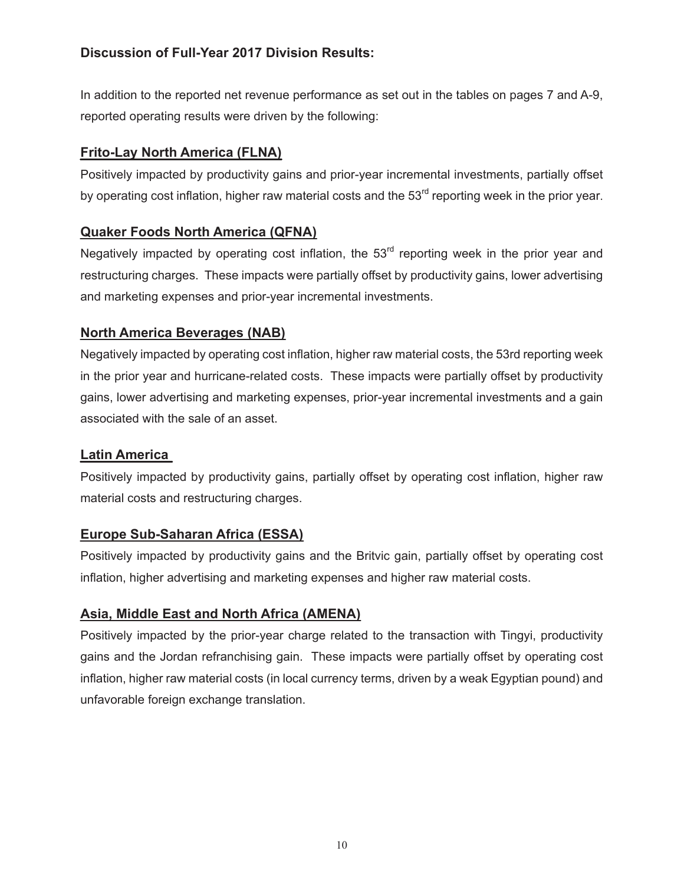# **Discussion of Full-Year 2017 Division Results:**

In addition to the reported net revenue performance as set out in the tables on pages 7 and A-9, reported operating results were driven by the following:

# **Frito-Lay North America (FLNA)**

Positively impacted by productivity gains and prior-year incremental investments, partially offset by operating cost inflation, higher raw material costs and the 53<sup>rd</sup> reporting week in the prior year.

# **Quaker Foods North America (QFNA)**

Negatively impacted by operating cost inflation, the  $53<sup>rd</sup>$  reporting week in the prior year and restructuring charges. These impacts were partially offset by productivity gains, lower advertising and marketing expenses and prior-year incremental investments.

## **North America Beverages (NAB)**

Negatively impacted by operating cost inflation, higher raw material costs, the 53rd reporting week in the prior year and hurricane-related costs. These impacts were partially offset by productivity gains, lower advertising and marketing expenses, prior-year incremental investments and a gain associated with the sale of an asset.

## **Latin America**

Positively impacted by productivity gains, partially offset by operating cost inflation, higher raw material costs and restructuring charges.

# **Europe Sub-Saharan Africa (ESSA)**

Positively impacted by productivity gains and the Britvic gain, partially offset by operating cost inflation, higher advertising and marketing expenses and higher raw material costs.

# **Asia, Middle East and North Africa (AMENA)**

Positively impacted by the prior-year charge related to the transaction with Tingyi, productivity gains and the Jordan refranchising gain. These impacts were partially offset by operating cost inflation, higher raw material costs (in local currency terms, driven by a weak Egyptian pound) and unfavorable foreign exchange translation.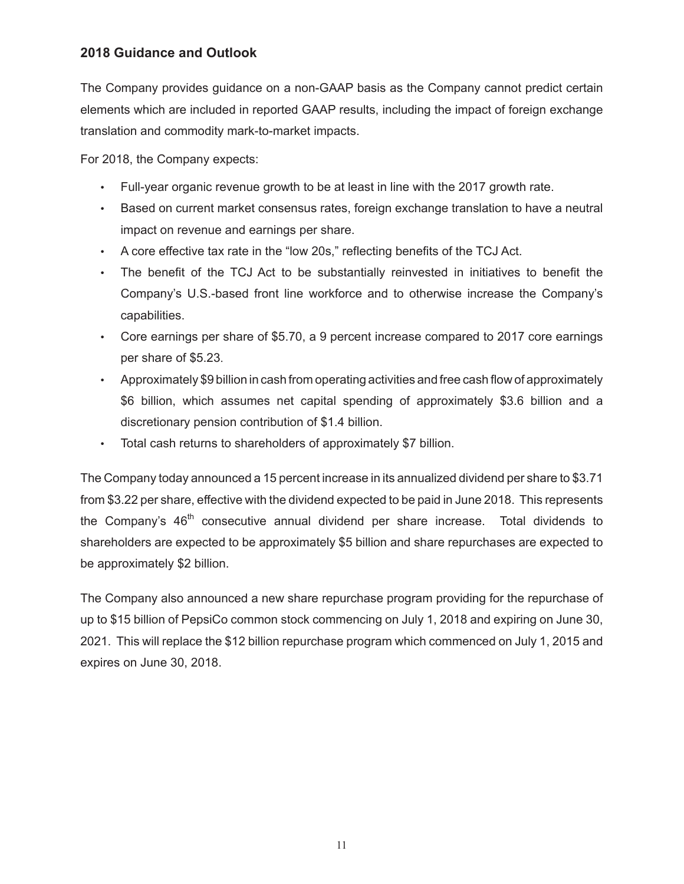## **2018 Guidance and Outlook**

The Company provides guidance on a non-GAAP basis as the Company cannot predict certain elements which are included in reported GAAP results, including the impact of foreign exchange translation and commodity mark-to-market impacts.

For 2018, the Company expects:

- Full-year organic revenue growth to be at least in line with the 2017 growth rate.
- Based on current market consensus rates, foreign exchange translation to have a neutral impact on revenue and earnings per share.
- A core effective tax rate in the "low 20s," reflecting benefits of the TCJ Act.
- The benefit of the TCJ Act to be substantially reinvested in initiatives to benefit the Company's U.S.-based front line workforce and to otherwise increase the Company's capabilities.
- Core earnings per share of \$5.70, a 9 percent increase compared to 2017 core earnings per share of \$5.23.
- Approximately \$9 billion in cash from operating activities and free cash flow of approximately \$6 billion, which assumes net capital spending of approximately \$3.6 billion and a discretionary pension contribution of \$1.4 billion.
- Total cash returns to shareholders of approximately \$7 billion.

The Company today announced a 15 percent increase in its annualized dividend per share to \$3.71 from \$3.22 per share, effective with the dividend expected to be paid in June 2018. This represents the Company's  $46<sup>th</sup>$  consecutive annual dividend per share increase. Total dividends to shareholders are expected to be approximately \$5 billion and share repurchases are expected to be approximately \$2 billion.

The Company also announced a new share repurchase program providing for the repurchase of up to \$15 billion of PepsiCo common stock commencing on July 1, 2018 and expiring on June 30, 2021. This will replace the \$12 billion repurchase program which commenced on July 1, 2015 and expires on June 30, 2018.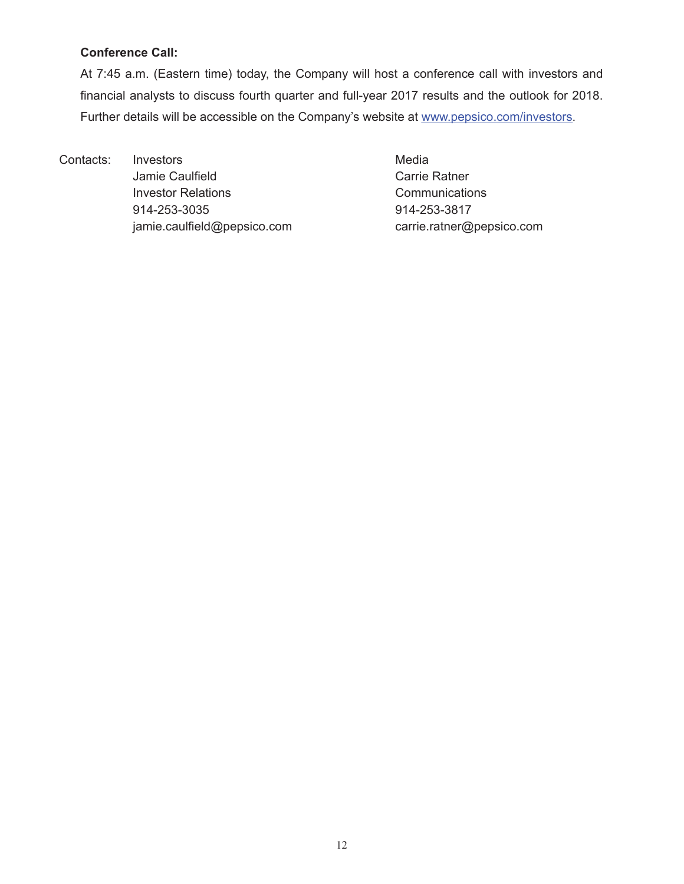## **Conference Call:**

At 7:45 a.m. (Eastern time) today, the Company will host a conference call with investors and financial analysts to discuss fourth quarter and full-year 2017 results and the outlook for 2018. Further details will be accessible on the Company's website at www.pepsico.com/investors.

Contacts: Investors **Media** Jamie Caulfield **Carrie Ratner** Carrie Ratner Investor Relations **Communications** 914-253-3035 914-253-3817 jamie.caulfield@pepsico.com carrie.ratner@pepsico.com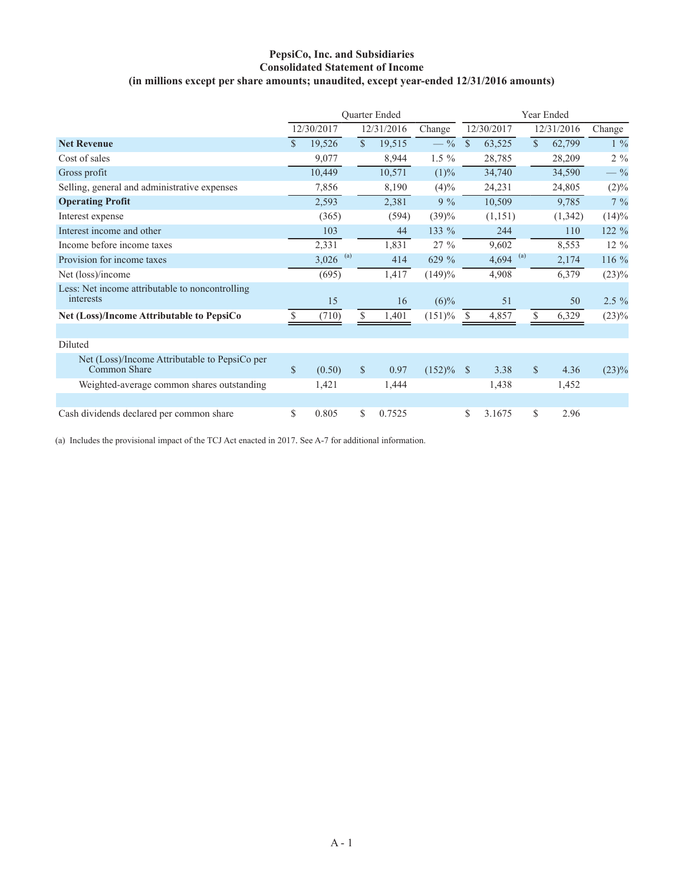## **PepsiCo, Inc. and Subsidiaries Consolidated Statement of Income (in millions except per share amounts; unaudited, except year-ended 12/31/2016 amounts)**

|                                                               | <b>Ouarter Ended</b> |                        |              |            |              |               | Year Ended |             |            |                |  |
|---------------------------------------------------------------|----------------------|------------------------|--------------|------------|--------------|---------------|------------|-------------|------------|----------------|--|
|                                                               |                      | 12/30/2017             |              | 12/31/2016 | Change       |               | 12/30/2017 |             | 12/31/2016 | Change         |  |
| <b>Net Revenue</b>                                            | $\mathcal{S}$        | 19,526                 | $\mathbf{s}$ | 19,515     | $-$ %        | $\mathcal{S}$ | 63,525     | $\mathbf S$ | 62,799     | $1\frac{9}{6}$ |  |
| Cost of sales                                                 |                      | 9,077                  |              | 8,944      | $1.5\%$      |               | 28,785     |             | 28,209     | $2\%$          |  |
| Gross profit                                                  |                      | 10,449                 |              | 10,571     | (1)%         |               | 34,740     |             | 34,590     | $-$ %          |  |
| Selling, general and administrative expenses                  |                      | 7,856                  |              | 8,190      | (4)%         |               | 24,231     |             | 24,805     | $(2)\%$        |  |
| <b>Operating Profit</b>                                       |                      | 2,593                  |              | 2,381      | $9\%$        |               | 10,509     |             | 9,785      | $7\%$          |  |
| Interest expense                                              |                      | (365)                  |              | (594)      | (39)%        |               | (1, 151)   |             | (1, 342)   | $(14)\%$       |  |
| Interest income and other                                     |                      | 103                    |              | 44         | 133 %        |               | 244        |             | 110        | 122 %          |  |
| Income before income taxes                                    |                      | 2,331                  |              | 1,831      | 27 %         |               | 9,602      |             | 8,553      | $12\%$         |  |
| Provision for income taxes                                    |                      | $3,026$ <sup>(a)</sup> |              | 414        | 629 %        |               | 4,694 (a)  |             | 2,174      | $116\%$        |  |
| Net (loss)/income                                             |                      | (695)                  |              | 1,417      | (149)%       |               | 4,908      |             | 6,379      | (23)%          |  |
| Less: Net income attributable to noncontrolling<br>interests  |                      | 15                     |              | 16         | $(6)\%$      |               | 51         |             | 50         | $2.5\%$        |  |
| Net (Loss)/Income Attributable to PepsiCo                     | <sup>\$</sup>        | (710)                  | \$           | 1,401      | (151)%       | <sup>S</sup>  | 4,857      | \$          | 6,329      | (23)%          |  |
|                                                               |                      |                        |              |            |              |               |            |             |            |                |  |
| Diluted                                                       |                      |                        |              |            |              |               |            |             |            |                |  |
| Net (Loss)/Income Attributable to PepsiCo per<br>Common Share | $\mathbb{S}$         | (0.50)                 | $\mathbb{S}$ | 0.97       | $(152)\%$ \$ |               | 3.38       | $\mathbf S$ | 4.36       | $(23)\%$       |  |
| Weighted-average common shares outstanding                    |                      | 1,421                  |              | 1,444      |              |               | 1,438      |             | 1,452      |                |  |
|                                                               |                      |                        |              |            |              |               |            |             |            |                |  |
| Cash dividends declared per common share                      | \$                   | 0.805                  | \$           | 0.7525     |              | \$            | 3.1675     | \$          | 2.96       |                |  |

(a) Includes the provisional impact of the TCJ Act enacted in 2017. See A-7 for additional information.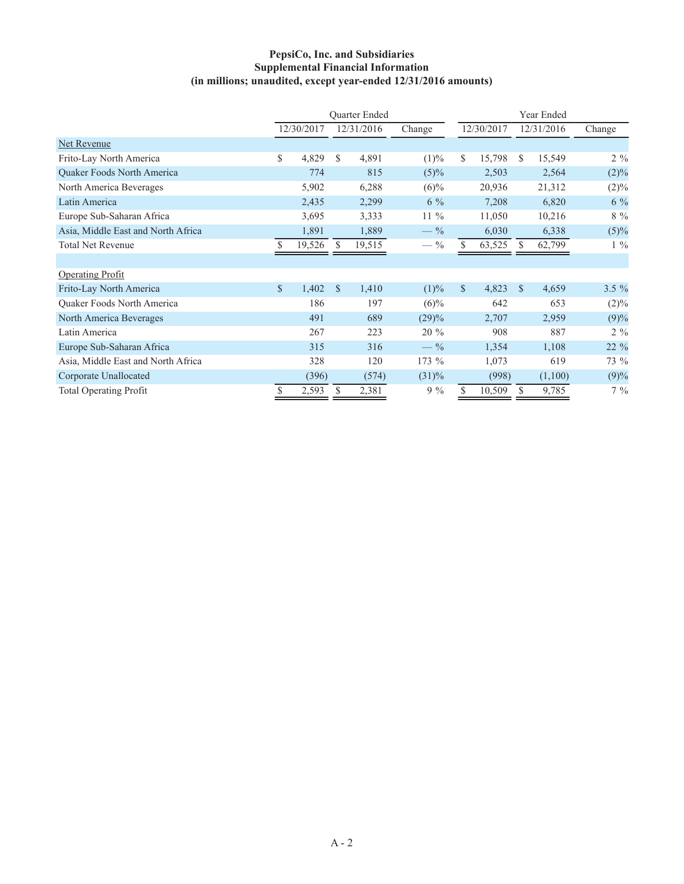## **PepsiCo, Inc. and Subsidiaries Supplemental Financial Information (in millions; unaudited, except year-ended 12/31/2016 amounts)**

|                                    | <b>Ouarter Ended</b> |            |               |            |         |     | Year Ended |               |            |          |  |
|------------------------------------|----------------------|------------|---------------|------------|---------|-----|------------|---------------|------------|----------|--|
|                                    |                      | 12/30/2017 |               | 12/31/2016 | Change  |     | 12/30/2017 |               | 12/31/2016 | Change   |  |
| Net Revenue                        |                      |            |               |            |         |     |            |               |            |          |  |
| Frito-Lay North America            | \$                   | 4,829      | S             | 4,891      | (1)%    | \$  | 15,798     | S.            | 15,549     | $2\%$    |  |
| Quaker Foods North America         |                      | 774        |               | 815        | $(5)\%$ |     | 2,503      |               | 2,564      | (2)%     |  |
| North America Beverages            |                      | 5,902      |               | 6,288      | $(6)\%$ |     | 20,936     |               | 21,312     | $(2)\%$  |  |
| Latin America                      |                      | 2,435      |               | 2,299      | $6\%$   |     | 7,208      |               | 6,820      | $6\%$    |  |
| Europe Sub-Saharan Africa          |                      | 3,695      |               | 3,333      | $11\%$  |     | 11,050     |               | 10,216     | $8\%$    |  |
| Asia, Middle East and North Africa |                      | 1,891      |               | 1,889      | $-$ %   |     | 6,030      |               | 6,338      | (5)%     |  |
| <b>Total Net Revenue</b>           |                      | 19,526     | <sup>S</sup>  | 19,515     | $-$ %   | S.  | 63,525     | S.            | 62,799     | $1\%$    |  |
|                                    |                      |            |               |            |         |     |            |               |            |          |  |
| <b>Operating Profit</b>            |                      |            |               |            |         |     |            |               |            |          |  |
| Frito-Lay North America            | $\mathcal{S}$        | 1,402      | $\mathcal{S}$ | 1,410      | (1)%    | \$. | 4,823      | <sup>\$</sup> | 4,659      | $3.5 \%$ |  |
| Quaker Foods North America         |                      | 186        |               | 197        | $(6)\%$ |     | 642        |               | 653        | $(2)\%$  |  |
| North America Beverages            |                      | 491        |               | 689        | (29)%   |     | 2,707      |               | 2,959      | (9)%     |  |
| Latin America                      |                      | 267        |               | 223        | 20 %    |     | 908        |               | 887        | $2\%$    |  |
| Europe Sub-Saharan Africa          |                      | 315        |               | 316        | $-$ %   |     | 1,354      |               | 1,108      | 22 %     |  |
| Asia, Middle East and North Africa |                      | 328        |               | 120        | 173 %   |     | 1,073      |               | 619        | 73 %     |  |
| Corporate Unallocated              |                      | (396)      |               | (574)      | (31)%   |     | (998)      |               | (1,100)    | (9)%     |  |
| <b>Total Operating Profit</b>      |                      | 2,593      |               | 2,381      | $9\%$   | S   | 10,509     |               | 9,785      | $7\%$    |  |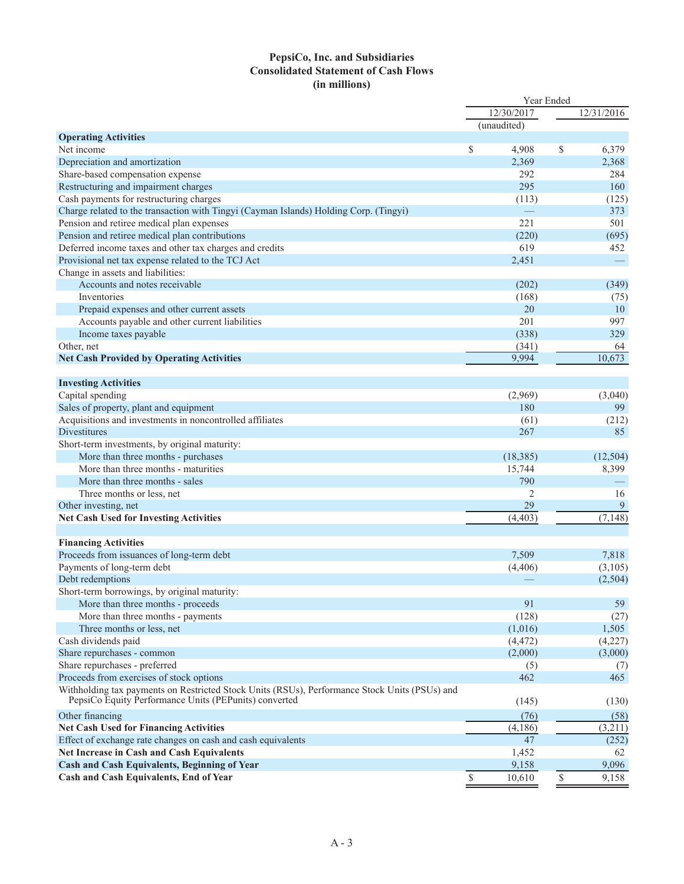## **PepsiCo, Inc. and Subsidiaries Consolidated Statement of Cash Flows (in millions)**

|                                                                                               |              | Year Ended<br>12/30/2017 |              | 12/31/2016 |
|-----------------------------------------------------------------------------------------------|--------------|--------------------------|--------------|------------|
|                                                                                               |              | (unaudited)              |              |            |
| <b>Operating Activities</b>                                                                   |              |                          |              |            |
| Net income                                                                                    | $\mathbb{S}$ | 4,908                    | \$           | 6,379      |
| Depreciation and amortization                                                                 |              | 2,369                    |              | 2,368      |
| Share-based compensation expense                                                              |              | 292                      |              | 284        |
| Restructuring and impairment charges                                                          |              | 295                      |              | 160        |
| Cash payments for restructuring charges                                                       |              | (113)                    |              | (125)      |
| Charge related to the transaction with Tingyi (Cayman Islands) Holding Corp. (Tingyi)         |              |                          |              | 373        |
| Pension and retiree medical plan expenses                                                     |              | 221                      |              | 501        |
| Pension and retiree medical plan contributions                                                |              | (220)                    |              | (695)      |
| Deferred income taxes and other tax charges and credits                                       |              | 619                      |              | 452        |
| Provisional net tax expense related to the TCJ Act                                            |              | 2,451                    |              |            |
| Change in assets and liabilities:                                                             |              |                          |              |            |
| Accounts and notes receivable                                                                 |              | (202)                    |              | (349)      |
| Inventories                                                                                   |              | (168)                    |              | (75)       |
| Prepaid expenses and other current assets                                                     |              | 20                       |              | 10         |
| Accounts payable and other current liabilities                                                |              | 201                      |              | 997        |
| Income taxes payable                                                                          |              | (338)                    |              | 329        |
| Other, net                                                                                    |              | (341)                    |              | 64         |
| <b>Net Cash Provided by Operating Activities</b>                                              |              | 9,994                    |              | 10,673     |
|                                                                                               |              |                          |              |            |
| <b>Investing Activities</b>                                                                   |              |                          |              |            |
| Capital spending                                                                              |              | (2,969)                  |              | (3,040)    |
| Sales of property, plant and equipment                                                        |              | 180                      |              | 99         |
| Acquisitions and investments in noncontrolled affiliates                                      |              | (61)                     |              | (212)      |
| Divestitures                                                                                  |              | 267                      |              | 85         |
| Short-term investments, by original maturity:                                                 |              |                          |              |            |
| More than three months - purchases                                                            |              | (18, 385)                |              | (12, 504)  |
| More than three months - maturities                                                           |              | 15,744                   |              | 8,399      |
| More than three months - sales                                                                |              | 790                      |              |            |
| Three months or less, net                                                                     |              | 2                        |              | 16         |
| Other investing, net                                                                          |              | 29                       |              | 9          |
| <b>Net Cash Used for Investing Activities</b>                                                 |              | (4, 403)                 |              | (7, 148)   |
|                                                                                               |              |                          |              |            |
| <b>Financing Activities</b>                                                                   |              |                          |              |            |
| Proceeds from issuances of long-term debt                                                     |              | 7,509                    |              | 7,818      |
| Payments of long-term debt                                                                    |              | (4, 406)                 |              | (3,105)    |
| Debt redemptions                                                                              |              |                          |              | (2,504)    |
| Short-term borrowings, by original maturity:                                                  |              |                          |              |            |
| More than three months - proceeds                                                             |              | 91                       |              | 59         |
| More than three months - payments                                                             |              | (128)                    |              | (27)       |
| Three months or less, net                                                                     |              | (1,016)                  |              | 1,505      |
| Cash dividends paid                                                                           |              | (4, 472)                 |              | (4,227)    |
| Share repurchases - common                                                                    |              | (2,000)                  |              | (3,000)    |
| Share repurchases - preferred                                                                 |              | (5)                      |              | (7)        |
| Proceeds from exercises of stock options                                                      |              | 462                      |              | 465        |
| Withholding tax payments on Restricted Stock Units (RSUs), Performance Stock Units (PSUs) and |              |                          |              |            |
| PepsiCo Equity Performance Units (PEPunits) converted                                         |              | (145)                    |              | (130)      |
| Other financing                                                                               |              | (76)                     |              | (58)       |
| <b>Net Cash Used for Financing Activities</b>                                                 |              | (4,186)                  |              | (3,211)    |
| Effect of exchange rate changes on cash and cash equivalents                                  |              | 47                       |              | (252)      |
| Net Increase in Cash and Cash Equivalents                                                     |              | 1,452                    |              | 62         |
| Cash and Cash Equivalents, Beginning of Year                                                  |              | 9,158                    |              | 9,096      |
| Cash and Cash Equivalents, End of Year                                                        |              |                          |              |            |
|                                                                                               | \$           | 10,610                   | $\mathbb{S}$ | 9,158      |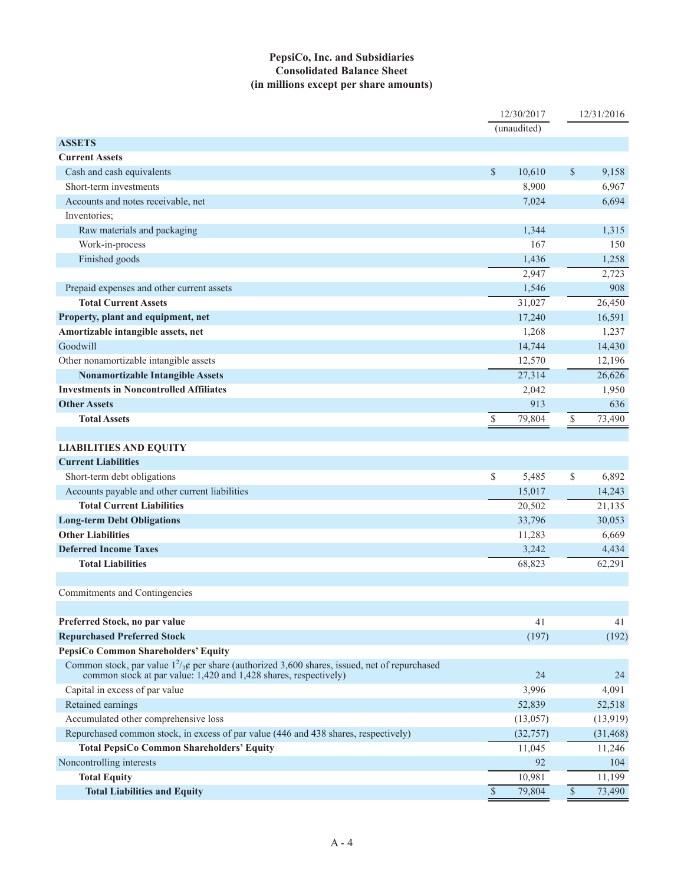## **PepsiCo, Inc. and Subsidiaries Consolidated Balance Sheet (in millions except per share amounts)**

|                                                                                                                                                                       |               | 12/30/2017  |                      | 12/31/2016 |
|-----------------------------------------------------------------------------------------------------------------------------------------------------------------------|---------------|-------------|----------------------|------------|
|                                                                                                                                                                       |               | (unaudited) |                      |            |
| <b>ASSETS</b>                                                                                                                                                         |               |             |                      |            |
| <b>Current Assets</b>                                                                                                                                                 |               |             |                      |            |
| Cash and cash equivalents                                                                                                                                             | \$            | 10,610      | $\mathcal{S}$        | 9,158      |
| Short-term investments                                                                                                                                                |               | 8,900       |                      | 6,967      |
| Accounts and notes receivable, net                                                                                                                                    |               | 7,024       |                      | 6,694      |
| Inventories;                                                                                                                                                          |               |             |                      |            |
| Raw materials and packaging                                                                                                                                           |               | 1,344       |                      | 1,315      |
| Work-in-process                                                                                                                                                       |               | 167         |                      | 150        |
| Finished goods                                                                                                                                                        |               | 1,436       |                      | 1,258      |
|                                                                                                                                                                       |               | 2,947       |                      | 2,723      |
| Prepaid expenses and other current assets                                                                                                                             |               | 1,546       |                      | 908        |
| <b>Total Current Assets</b>                                                                                                                                           |               | 31,027      |                      | 26,450     |
| Property, plant and equipment, net                                                                                                                                    |               | 17,240      |                      | 16,591     |
| Amortizable intangible assets, net                                                                                                                                    |               | 1,268       |                      | 1,237      |
| Goodwill                                                                                                                                                              |               | 14,744      |                      | 14,430     |
| Other nonamortizable intangible assets                                                                                                                                |               | 12,570      |                      | 12,196     |
| <b>Nonamortizable Intangible Assets</b>                                                                                                                               |               | 27,314      |                      | 26,626     |
| <b>Investments in Noncontrolled Affiliates</b>                                                                                                                        |               | 2,042       |                      | 1,950      |
| <b>Other Assets</b>                                                                                                                                                   |               | 913         |                      | 636        |
| <b>Total Assets</b>                                                                                                                                                   | \$            | 79,804      | $\mathbb{S}$         | 73,490     |
|                                                                                                                                                                       |               |             |                      |            |
| <b>LIABILITIES AND EQUITY</b>                                                                                                                                         |               |             |                      |            |
| <b>Current Liabilities</b>                                                                                                                                            |               |             |                      |            |
| Short-term debt obligations                                                                                                                                           | \$            | 5,485       | \$                   | 6,892      |
| Accounts payable and other current liabilities                                                                                                                        |               | 15,017      |                      | 14,243     |
| <b>Total Current Liabilities</b>                                                                                                                                      |               | 20,502      |                      | 21,135     |
| <b>Long-term Debt Obligations</b>                                                                                                                                     |               | 33,796      |                      | 30,053     |
| <b>Other Liabilities</b>                                                                                                                                              |               | 11,283      |                      | 6,669      |
| <b>Deferred Income Taxes</b>                                                                                                                                          |               | 3,242       |                      | 4,434      |
| <b>Total Liabilities</b>                                                                                                                                              |               | 68,823      |                      | 62,291     |
|                                                                                                                                                                       |               |             |                      |            |
| Commitments and Contingencies                                                                                                                                         |               |             |                      |            |
|                                                                                                                                                                       |               |             |                      |            |
| Preferred Stock, no par value                                                                                                                                         |               | 41          |                      | 41         |
| <b>Repurchased Preferred Stock</b>                                                                                                                                    |               | (197)       |                      | (192)      |
| PepsiCo Common Shareholders' Equity                                                                                                                                   |               |             |                      |            |
| Common stock, par value $1^2/\chi$ per share (authorized 3,600 shares, issued, net of repurchased<br>common stock at par value: 1,420 and 1,428 shares, respectively) |               | 24          |                      | 24         |
| Capital in excess of par value                                                                                                                                        |               | 3,996       |                      | 4,091      |
| Retained earnings                                                                                                                                                     |               | 52,839      |                      | 52,518     |
| Accumulated other comprehensive loss                                                                                                                                  |               | (13,057)    |                      | (13,919)   |
| Repurchased common stock, in excess of par value (446 and 438 shares, respectively)                                                                                   |               | (32, 757)   |                      | (31, 468)  |
| <b>Total PepsiCo Common Shareholders' Equity</b>                                                                                                                      |               | 11,045      |                      | 11,246     |
| Noncontrolling interests                                                                                                                                              |               | 92          |                      | 104        |
| <b>Total Equity</b>                                                                                                                                                   |               | 10,981      |                      | 11,199     |
| <b>Total Liabilities and Equity</b>                                                                                                                                   | $\mathcal{S}$ | 79,804      | $\sqrt{\frac{1}{2}}$ | 73,490     |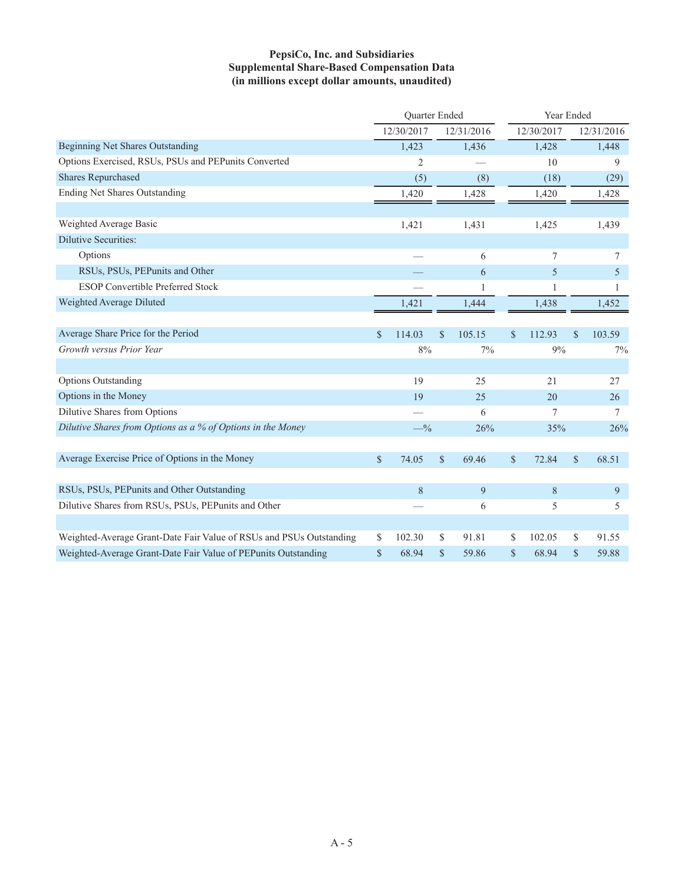## **PepsiCo, Inc. and Subsidiaries Supplemental Share-Based Compensation Data (in millions except dollar amounts, unaudited)**

|                                                                     | Quarter Ended |                |              | Year Ended |               |            |               |            |  |
|---------------------------------------------------------------------|---------------|----------------|--------------|------------|---------------|------------|---------------|------------|--|
|                                                                     |               | 12/30/2017     |              | 12/31/2016 |               | 12/30/2017 |               | 12/31/2016 |  |
| Beginning Net Shares Outstanding                                    |               | 1,423          |              | 1,436      |               | 1,428      |               | 1,448      |  |
| Options Exercised, RSUs, PSUs and PEPunits Converted                |               | $\overline{2}$ |              |            |               | 10         |               | 9          |  |
| <b>Shares Repurchased</b>                                           |               | (5)            |              | (8)        |               | (18)       |               | (29)       |  |
| <b>Ending Net Shares Outstanding</b>                                |               | 1,420          |              | 1,428      |               | 1,420      |               | 1,428      |  |
|                                                                     |               |                |              |            |               |            |               |            |  |
| Weighted Average Basic                                              |               | 1,421          |              | 1,431      |               | 1,425      |               | 1,439      |  |
| <b>Dilutive Securities:</b>                                         |               |                |              |            |               |            |               |            |  |
| Options                                                             |               |                |              | 6          |               | 7          |               | 7          |  |
| RSUs, PSUs, PEPunits and Other                                      |               |                |              | 6          |               | 5          |               | 5          |  |
| <b>ESOP Convertible Preferred Stock</b>                             |               |                |              | 1          |               | 1          |               | 1          |  |
| Weighted Average Diluted                                            |               | 1,421          |              | 1,444      |               | 1,438      |               | 1,452      |  |
|                                                                     |               |                |              |            |               |            |               |            |  |
| Average Share Price for the Period                                  | $\mathcal{S}$ | 114.03         | \$           | 105.15     | S             | 112.93     | \$            | 103.59     |  |
| Growth versus Prior Year                                            |               | 8%             |              | 7%         |               | 9%         |               | 7%         |  |
|                                                                     |               |                |              |            |               |            |               |            |  |
| <b>Options Outstanding</b>                                          |               | 19             |              | 25         |               | 21         |               | 27         |  |
| Options in the Money                                                |               | 19             |              | 25         |               | 20         |               | 26         |  |
| Dilutive Shares from Options                                        |               |                |              | 6          |               | 7          |               | 7          |  |
| Dilutive Shares from Options as a % of Options in the Money         |               | $-$ %          |              | 26%        |               | 35%        |               | 26%        |  |
|                                                                     |               |                |              |            |               |            |               |            |  |
| Average Exercise Price of Options in the Money                      | $\mathcal{S}$ | 74.05          | $\mathbb{S}$ | 69.46      | $\mathcal{S}$ | 72.84      | $\mathcal{S}$ | 68.51      |  |
|                                                                     |               |                |              |            |               |            |               |            |  |
| RSUs, PSUs, PEPunits and Other Outstanding                          |               | 8              |              | 9          |               | 8          |               | 9          |  |
| Dilutive Shares from RSUs, PSUs, PEPunits and Other                 |               |                |              | 6          |               | 5          |               | 5          |  |
|                                                                     |               |                |              |            |               |            |               |            |  |
| Weighted-Average Grant-Date Fair Value of RSUs and PSUs Outstanding | \$            | 102.30         | \$           | 91.81      | S             | 102.05     | \$            | 91.55      |  |
| Weighted-Average Grant-Date Fair Value of PEPunits Outstanding      | \$            | 68.94          | $\mathbf S$  | 59.86      | $\mathcal{S}$ | 68.94      | $\mathbf S$   | 59.88      |  |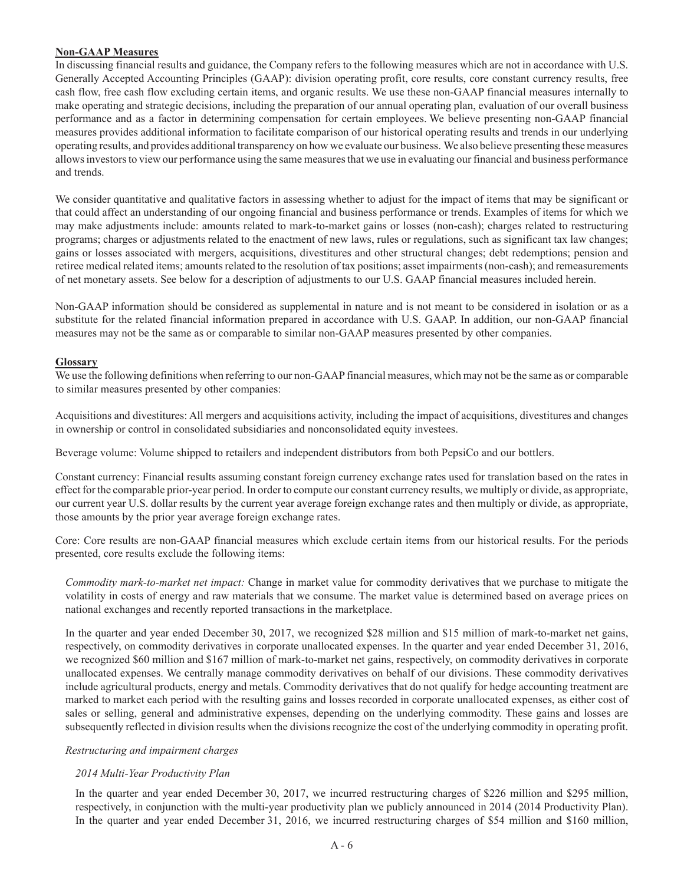#### **Non-GAAP Measures**

In discussing financial results and guidance, the Company refers to the following measures which are not in accordance with U.S. Generally Accepted Accounting Principles (GAAP): division operating profit, core results, core constant currency results, free cash flow, free cash flow excluding certain items, and organic results. We use these non-GAAP financial measures internally to make operating and strategic decisions, including the preparation of our annual operating plan, evaluation of our overall business performance and as a factor in determining compensation for certain employees. We believe presenting non-GAAP financial measures provides additional information to facilitate comparison of our historical operating results and trends in our underlying operating results, and provides additional transparency on how we evaluate our business. We also believe presenting these measures allows investors to view our performance using the same measures that we use in evaluating our financial and business performance and trends.

We consider quantitative and qualitative factors in assessing whether to adjust for the impact of items that may be significant or that could affect an understanding of our ongoing financial and business performance or trends. Examples of items for which we may make adjustments include: amounts related to mark-to-market gains or losses (non-cash); charges related to restructuring programs; charges or adjustments related to the enactment of new laws, rules or regulations, such as significant tax law changes; gains or losses associated with mergers, acquisitions, divestitures and other structural changes; debt redemptions; pension and retiree medical related items; amounts related to the resolution of tax positions; asset impairments (non-cash); and remeasurements of net monetary assets. See below for a description of adjustments to our U.S. GAAP financial measures included herein.

Non-GAAP information should be considered as supplemental in nature and is not meant to be considered in isolation or as a substitute for the related financial information prepared in accordance with U.S. GAAP. In addition, our non-GAAP financial measures may not be the same as or comparable to similar non-GAAP measures presented by other companies.

## **Glossary**

We use the following definitions when referring to our non-GAAP financial measures, which may not be the same as or comparable to similar measures presented by other companies:

Acquisitions and divestitures: All mergers and acquisitions activity, including the impact of acquisitions, divestitures and changes in ownership or control in consolidated subsidiaries and nonconsolidated equity investees.

Beverage volume: Volume shipped to retailers and independent distributors from both PepsiCo and our bottlers.

Constant currency: Financial results assuming constant foreign currency exchange rates used for translation based on the rates in effect for the comparable prior-year period. In order to compute our constant currency results, we multiply or divide, as appropriate, our current year U.S. dollar results by the current year average foreign exchange rates and then multiply or divide, as appropriate, those amounts by the prior year average foreign exchange rates.

Core: Core results are non-GAAP financial measures which exclude certain items from our historical results. For the periods presented, core results exclude the following items:

*Commodity mark-to-market net impact:* Change in market value for commodity derivatives that we purchase to mitigate the volatility in costs of energy and raw materials that we consume. The market value is determined based on average prices on national exchanges and recently reported transactions in the marketplace.

In the quarter and year ended December 30, 2017, we recognized \$28 million and \$15 million of mark-to-market net gains, respectively, on commodity derivatives in corporate unallocated expenses. In the quarter and year ended December 31, 2016, we recognized \$60 million and \$167 million of mark-to-market net gains, respectively, on commodity derivatives in corporate unallocated expenses. We centrally manage commodity derivatives on behalf of our divisions. These commodity derivatives include agricultural products, energy and metals. Commodity derivatives that do not qualify for hedge accounting treatment are marked to market each period with the resulting gains and losses recorded in corporate unallocated expenses, as either cost of sales or selling, general and administrative expenses, depending on the underlying commodity. These gains and losses are subsequently reflected in division results when the divisions recognize the cost of the underlying commodity in operating profit.

#### *Restructuring and impairment charges*

## *2014 Multi-Year Productivity Plan*

In the quarter and year ended December 30, 2017, we incurred restructuring charges of \$226 million and \$295 million, respectively, in conjunction with the multi-year productivity plan we publicly announced in 2014 (2014 Productivity Plan). In the quarter and year ended December 31, 2016, we incurred restructuring charges of \$54 million and \$160 million,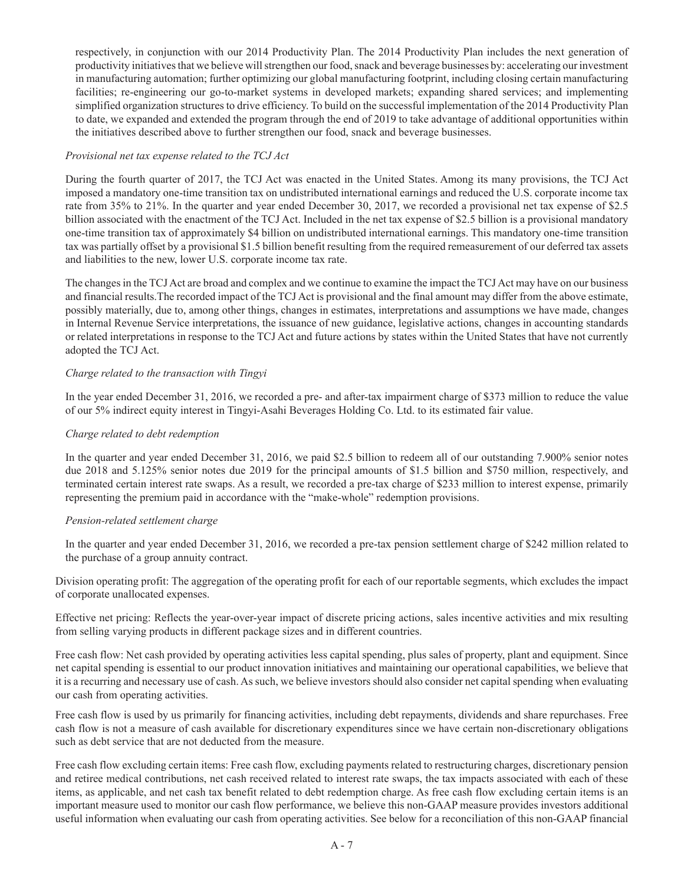respectively, in conjunction with our 2014 Productivity Plan. The 2014 Productivity Plan includes the next generation of productivity initiatives that we believe will strengthen our food, snack and beverage businesses by: accelerating our investment in manufacturing automation; further optimizing our global manufacturing footprint, including closing certain manufacturing facilities; re-engineering our go-to-market systems in developed markets; expanding shared services; and implementing simplified organization structures to drive efficiency. To build on the successful implementation of the 2014 Productivity Plan to date, we expanded and extended the program through the end of 2019 to take advantage of additional opportunities within the initiatives described above to further strengthen our food, snack and beverage businesses.

### *Provisional net tax expense related to the TCJ Act*

During the fourth quarter of 2017, the TCJ Act was enacted in the United States. Among its many provisions, the TCJ Act imposed a mandatory one-time transition tax on undistributed international earnings and reduced the U.S. corporate income tax rate from 35% to 21%. In the quarter and year ended December 30, 2017, we recorded a provisional net tax expense of \$2.5 billion associated with the enactment of the TCJ Act. Included in the net tax expense of \$2.5 billion is a provisional mandatory one-time transition tax of approximately \$4 billion on undistributed international earnings. This mandatory one-time transition tax was partially offset by a provisional \$1.5 billion benefit resulting from the required remeasurement of our deferred tax assets and liabilities to the new, lower U.S. corporate income tax rate.

The changes in the TCJ Act are broad and complex and we continue to examine the impact the TCJ Act may have on our business and financial results.The recorded impact of the TCJ Act is provisional and the final amount may differ from the above estimate, possibly materially, due to, among other things, changes in estimates, interpretations and assumptions we have made, changes in Internal Revenue Service interpretations, the issuance of new guidance, legislative actions, changes in accounting standards or related interpretations in response to the TCJ Act and future actions by states within the United States that have not currently adopted the TCJ Act.

## *Charge related to the transaction with Tingyi*

In the year ended December 31, 2016, we recorded a pre- and after-tax impairment charge of \$373 million to reduce the value of our 5% indirect equity interest in Tingyi-Asahi Beverages Holding Co. Ltd. to its estimated fair value.

## *Charge related to debt redemption*

In the quarter and year ended December 31, 2016, we paid \$2.5 billion to redeem all of our outstanding 7.900% senior notes due 2018 and 5.125% senior notes due 2019 for the principal amounts of \$1.5 billion and \$750 million, respectively, and terminated certain interest rate swaps. As a result, we recorded a pre-tax charge of \$233 million to interest expense, primarily representing the premium paid in accordance with the "make-whole" redemption provisions.

#### *Pension-related settlement charge*

In the quarter and year ended December 31, 2016, we recorded a pre-tax pension settlement charge of \$242 million related to the purchase of a group annuity contract.

Division operating profit: The aggregation of the operating profit for each of our reportable segments, which excludes the impact of corporate unallocated expenses.

Effective net pricing: Reflects the year-over-year impact of discrete pricing actions, sales incentive activities and mix resulting from selling varying products in different package sizes and in different countries.

Free cash flow: Net cash provided by operating activities less capital spending, plus sales of property, plant and equipment. Since net capital spending is essential to our product innovation initiatives and maintaining our operational capabilities, we believe that it is a recurring and necessary use of cash. As such, we believe investors should also consider net capital spending when evaluating our cash from operating activities.

Free cash flow is used by us primarily for financing activities, including debt repayments, dividends and share repurchases. Free cash flow is not a measure of cash available for discretionary expenditures since we have certain non-discretionary obligations such as debt service that are not deducted from the measure.

Free cash flow excluding certain items: Free cash flow, excluding payments related to restructuring charges, discretionary pension and retiree medical contributions, net cash received related to interest rate swaps, the tax impacts associated with each of these items, as applicable, and net cash tax benefit related to debt redemption charge. As free cash flow excluding certain items is an important measure used to monitor our cash flow performance, we believe this non-GAAP measure provides investors additional useful information when evaluating our cash from operating activities. See below for a reconciliation of this non-GAAP financial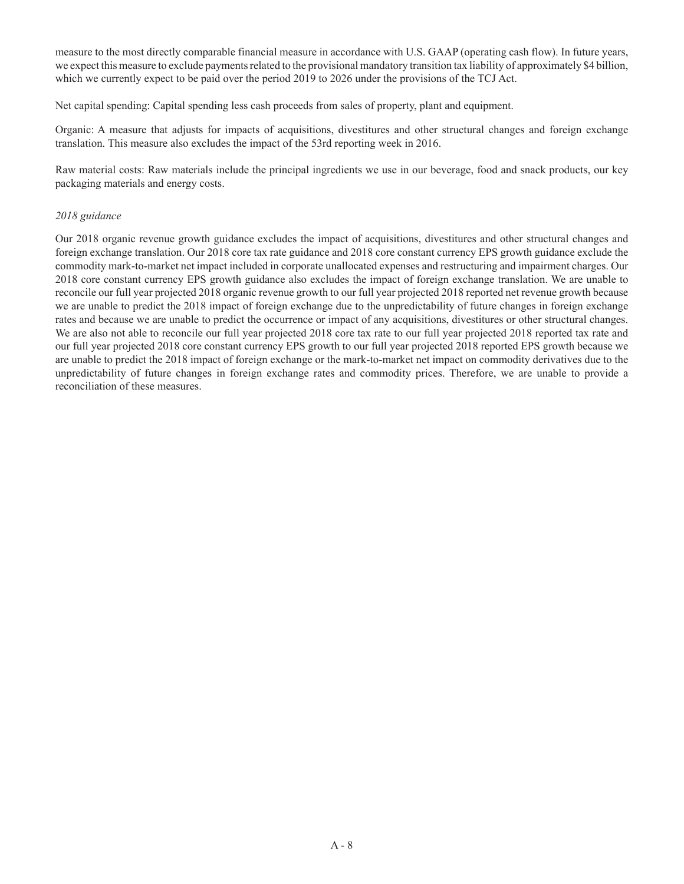measure to the most directly comparable financial measure in accordance with U.S. GAAP (operating cash flow). In future years, we expect this measure to exclude payments related to the provisional mandatory transition tax liability of approximately \$4 billion, which we currently expect to be paid over the period 2019 to 2026 under the provisions of the TCJ Act.

Net capital spending: Capital spending less cash proceeds from sales of property, plant and equipment.

Organic: A measure that adjusts for impacts of acquisitions, divestitures and other structural changes and foreign exchange translation. This measure also excludes the impact of the 53rd reporting week in 2016.

Raw material costs: Raw materials include the principal ingredients we use in our beverage, food and snack products, our key packaging materials and energy costs.

### *2018 guidance*

Our 2018 organic revenue growth guidance excludes the impact of acquisitions, divestitures and other structural changes and foreign exchange translation. Our 2018 core tax rate guidance and 2018 core constant currency EPS growth guidance exclude the commodity mark-to-market net impact included in corporate unallocated expenses and restructuring and impairment charges. Our 2018 core constant currency EPS growth guidance also excludes the impact of foreign exchange translation. We are unable to reconcile our full year projected 2018 organic revenue growth to our full year projected 2018 reported net revenue growth because we are unable to predict the 2018 impact of foreign exchange due to the unpredictability of future changes in foreign exchange rates and because we are unable to predict the occurrence or impact of any acquisitions, divestitures or other structural changes. We are also not able to reconcile our full year projected 2018 core tax rate to our full year projected 2018 reported tax rate and our full year projected 2018 core constant currency EPS growth to our full year projected 2018 reported EPS growth because we are unable to predict the 2018 impact of foreign exchange or the mark-to-market net impact on commodity derivatives due to the unpredictability of future changes in foreign exchange rates and commodity prices. Therefore, we are unable to provide a reconciliation of these measures.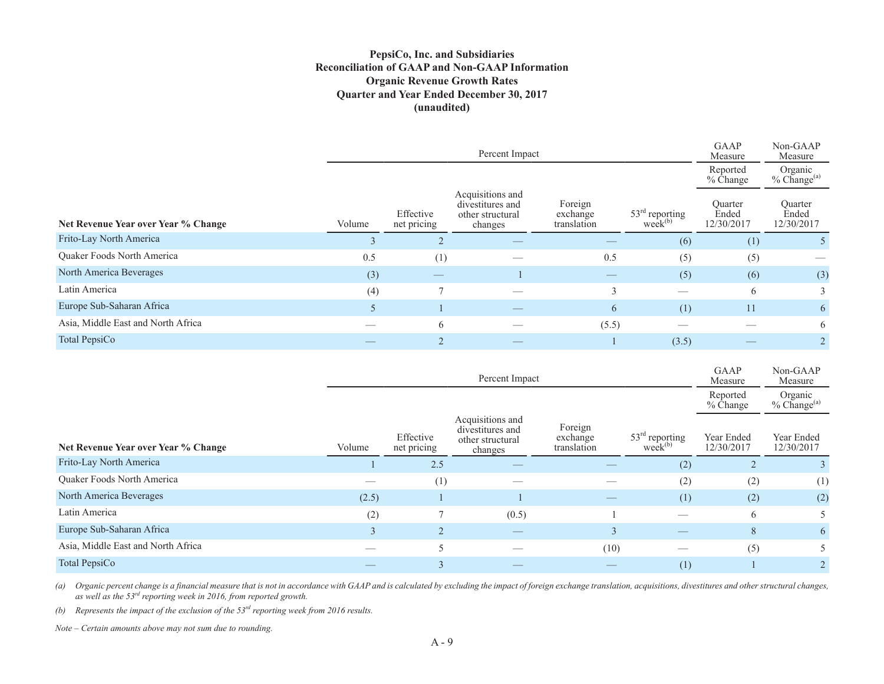## **PepsiCo, Inc. and Subsidiaries Reconciliation of GAAP and Non-GAAP Information Organic Revenue Growth Rates Quarter and Year Ended December 30, 2017 (unaudited)**

|                                     |        |                          | Percent Impact                                                      |                                    |                                  | GAAP<br>Measure                | Non-GAAP<br>Measure            |
|-------------------------------------|--------|--------------------------|---------------------------------------------------------------------|------------------------------------|----------------------------------|--------------------------------|--------------------------------|
|                                     |        |                          |                                                                     |                                    |                                  | Reported<br>% Change           | Organic<br>$%$ Change $^{(a)}$ |
| Net Revenue Year over Year % Change | Volume | Effective<br>net pricing | Acquisitions and<br>divestitures and<br>other structural<br>changes | Foreign<br>exchange<br>translation | $53rd$ reporting<br>$week^{(b)}$ | Quarter<br>Ended<br>12/30/2017 | Ouarter<br>Ended<br>12/30/2017 |
| Frito-Lay North America             | 3      | $\overline{2}$           | $\overbrace{\hspace{25mm}}^{}$                                      | $\overbrace{\hspace{25mm}}^{}$     | (6)                              | (1)                            |                                |
| Quaker Foods North America          | 0.5    | (1)                      |                                                                     | 0.5                                | (5)                              | (5)                            |                                |
| North America Beverages             | (3)    |                          |                                                                     |                                    | (5)                              | (6)                            | (3)                            |
| Latin America                       | (4)    |                          |                                                                     | 3                                  |                                  | 6                              | 3                              |
| Europe Sub-Saharan Africa           | 5      |                          |                                                                     | 6                                  | (1)                              | 11                             | 6                              |
| Asia, Middle East and North Africa  |        | 6                        |                                                                     | (5.5)                              |                                  |                                | 6                              |
| Total PepsiCo                       |        |                          |                                                                     |                                    | (3.5)                            |                                |                                |

|                                     |        |                          | Percent Impact                                                      |                                    |                                  | GAAP<br>Measure          | Non-GAAP<br>Measure            |
|-------------------------------------|--------|--------------------------|---------------------------------------------------------------------|------------------------------------|----------------------------------|--------------------------|--------------------------------|
|                                     |        |                          |                                                                     |                                    |                                  | Reported<br>% Change     | Organic<br>$%$ Change $^{(a)}$ |
| Net Revenue Year over Year % Change | Volume | Effective<br>net pricing | Acquisitions and<br>divestitures and<br>other structural<br>changes | Foreign<br>exchange<br>translation | $53rd$ reporting<br>$week^{(b)}$ | Year Ended<br>12/30/2017 | Year Ended<br>12/30/2017       |
| Frito-Lay North America             |        | 2.5                      |                                                                     |                                    | (2)                              |                          |                                |
| <b>Ouaker Foods North America</b>   |        | (1)                      |                                                                     |                                    | (2)                              | (2)                      | (1)                            |
| North America Beverages             | (2.5)  |                          |                                                                     |                                    | (1)                              | (2)                      | (2)                            |
| Latin America                       | (2)    |                          | (0.5)                                                               |                                    |                                  | 6                        | 5.                             |
| Europe Sub-Saharan Africa           | 3      |                          | –                                                                   | $\mathcal{E}$                      |                                  | 8                        | 6                              |
| Asia, Middle East and North Africa  |        |                          |                                                                     | (10)                               |                                  | (5)                      | 5                              |
| Total PepsiCo                       |        |                          |                                                                     |                                    | (1)                              |                          |                                |

(a) Organic percent change is a financial measure that is not in accordance with GAAP and is calculated by excluding the impact of foreign exchange translation, acquisitions, divestitures and other structural changes, *as well as the 53rd reporting week in 2016, from reported growth.*

*(b) Represents the impact of the exclusion of the 53rd reporting week from 2016 results.*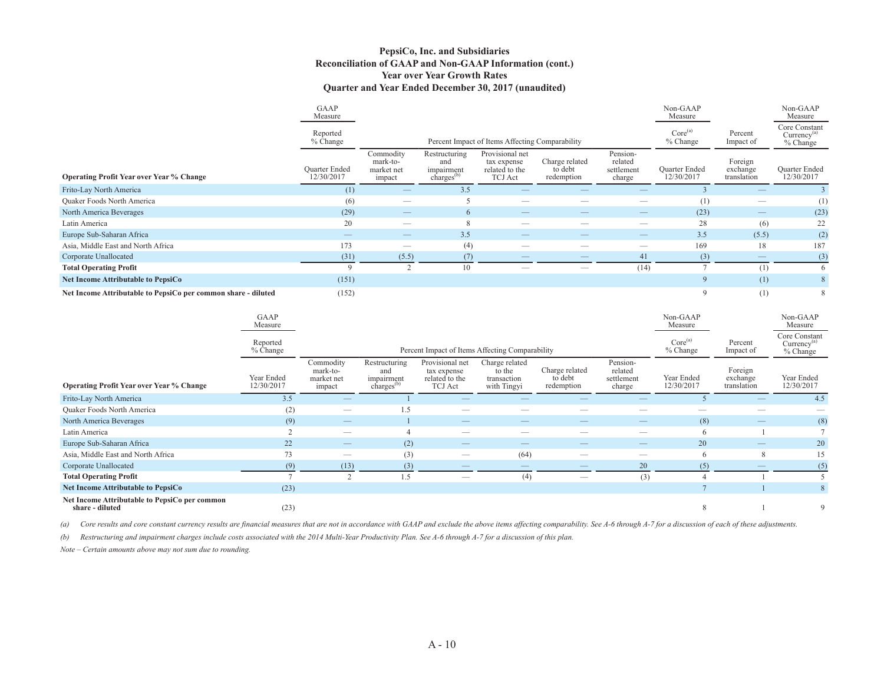#### **PepsiCo, Inc. and Subsidiaries Reconciliation of GAAP and Non-GAAP Information (cont.) Year over Year Growth Rates Quarter and Year Ended December 30, 2017 (unaudited)**

|                                                               | GAAP<br>Measure                    |                                               |                                                              |                                                                    |                                         |                                             | Non-GAAP<br>Measure                |                                    | Non-GAAP<br>Measure                           |
|---------------------------------------------------------------|------------------------------------|-----------------------------------------------|--------------------------------------------------------------|--------------------------------------------------------------------|-----------------------------------------|---------------------------------------------|------------------------------------|------------------------------------|-----------------------------------------------|
|                                                               | Reported<br>$%$ Change             |                                               |                                                              | Percent Impact of Items Affecting Comparability                    |                                         |                                             | Core <sup>(a)</sup><br>% Change    | Percent<br>Impact of               | Core Constant<br>$Currenev^{(a)}$<br>% Change |
| <b>Operating Profit Year over Year % Change</b>               | <b>Ouarter Ended</b><br>12/30/2017 | Commodity<br>mark-to-<br>market net<br>impact | Restructuring<br>and<br>impairment<br>charges <sup>(b)</sup> | Provisional net<br>tax expense<br>related to the<br><b>TCJ</b> Act | Charge related<br>to debt<br>redemption | Pension-<br>related<br>settlement<br>charge | <b>Ouarter Ended</b><br>12/30/2017 | Foreign<br>exchange<br>translation | <b>Ouarter Ended</b><br>12/30/2017            |
| Frito-Lay North America                                       | (1)                                |                                               | 3.5                                                          |                                                                    |                                         |                                             |                                    |                                    |                                               |
| <b>Quaker Foods North America</b>                             | (6)                                | $\frac{1}{2}$                                 |                                                              |                                                                    |                                         |                                             | (1)                                |                                    | (1)                                           |
| North America Beverages                                       | (29)                               |                                               | 6                                                            |                                                                    | __                                      |                                             | (23)                               |                                    | (23)                                          |
| Latin America                                                 | 20                                 |                                               |                                                              |                                                                    |                                         |                                             | 28                                 | (6)                                | 22                                            |
| Europe Sub-Saharan Africa                                     |                                    | $-$                                           | 3.5                                                          |                                                                    | __                                      | $\overline{\phantom{a}}$                    | 3.5                                | (5.5)                              | (2)                                           |
| Asia, Middle East and North Africa                            | 173                                |                                               | (4)                                                          |                                                                    |                                         |                                             | 169                                | 18                                 | 187                                           |
| Corporate Unallocated                                         | (31)                               | (5.5)                                         | (7)                                                          |                                                                    |                                         | 41                                          | (3)                                |                                    | (3)                                           |
| <b>Total Operating Profit</b>                                 | $\Omega$                           |                                               | 10                                                           |                                                                    |                                         | (14)                                        |                                    | (1)                                | 6                                             |
| <b>Net Income Attributable to PepsiCo</b>                     | (151)                              |                                               |                                                              |                                                                    |                                         |                                             | $\mathbf Q$                        | (1)                                | 8                                             |
| Net Income Attributable to PepsiCo per common share - diluted | (152)                              |                                               |                                                              |                                                                    |                                         |                                             |                                    | (1)                                | 8                                             |

|                                                                  | GAAP<br>Measure          |                                               |                                                              |                                                                    |                                                        |                                         |                                             | Non-GAAP<br>Measure             |                                    | Non-GAAP<br>Measure                                  |
|------------------------------------------------------------------|--------------------------|-----------------------------------------------|--------------------------------------------------------------|--------------------------------------------------------------------|--------------------------------------------------------|-----------------------------------------|---------------------------------------------|---------------------------------|------------------------------------|------------------------------------------------------|
|                                                                  | Reported<br>% Change     |                                               |                                                              |                                                                    | Percent Impact of Items Affecting Comparability        |                                         |                                             | Core <sup>(a)</sup><br>% Change | Percent<br>Impact of               | Core Constant<br>Currence <sup>(a)</sup><br>% Change |
| <b>Operating Profit Year over Year % Change</b>                  | Year Ended<br>12/30/2017 | Commodity<br>mark-to-<br>market net<br>impact | Restructuring<br>and<br>impairment<br>charges <sup>(b)</sup> | Provisional net<br>tax expense<br>related to the<br><b>TCJ</b> Act | Charge related<br>to the<br>transaction<br>with Tingyi | Charge related<br>to debt<br>redemption | Pension-<br>related<br>settlement<br>charge | Year Ended<br>12/30/2017        | Foreign<br>exchange<br>translation | Year Ended<br>12/30/2017                             |
| Frito-Lay North America                                          | 3.5                      |                                               |                                                              |                                                                    |                                                        |                                         |                                             |                                 |                                    | 4.5                                                  |
| Quaker Foods North America                                       | (2)                      | —                                             | 1.5                                                          |                                                                    |                                                        |                                         |                                             |                                 |                                    |                                                      |
| North America Beverages                                          | (9)                      | $\frac{1}{2}$                                 |                                                              |                                                                    |                                                        |                                         |                                             | (8)                             |                                    | (8)                                                  |
| Latin America                                                    |                          |                                               |                                                              | –                                                                  | –                                                      |                                         |                                             |                                 |                                    |                                                      |
| Europe Sub-Saharan Africa                                        | 22                       |                                               | (2)                                                          | __                                                                 |                                                        |                                         |                                             | 20                              |                                    | 20                                                   |
| Asia, Middle East and North Africa                               | 73                       | $\overline{\phantom{a}}$                      | (3)                                                          |                                                                    | (64)                                                   | --                                      |                                             |                                 | 8                                  | 15                                                   |
| Corporate Unallocated                                            | (9)                      | (13)                                          | (3)                                                          |                                                                    | $\frac{1}{2}$                                          | $-$                                     | 20                                          | (5)                             | —                                  | (5)                                                  |
| <b>Total Operating Profit</b>                                    |                          | $\Delta$                                      | 1.5                                                          |                                                                    | (4)                                                    | –                                       | (3)                                         |                                 |                                    |                                                      |
| <b>Net Income Attributable to PepsiCo</b>                        | (23)                     |                                               |                                                              |                                                                    |                                                        |                                         |                                             |                                 |                                    | 8                                                    |
| Net Income Attributable to PepsiCo per common<br>share - diluted | (23)                     |                                               |                                                              |                                                                    |                                                        |                                         |                                             |                                 |                                    | 9                                                    |

(a) Core results and core constant currency results are financial measures that are not in accordance with GAAP and exclude the above items affecting comparability. See A-6 through A-7 for a discussion of each of these adj

*(b) Restructuring and impairment charges include costs associated with the 2014 Multi-Year Productivity Plan. See A-6 through A-7 for a discussion of this plan.*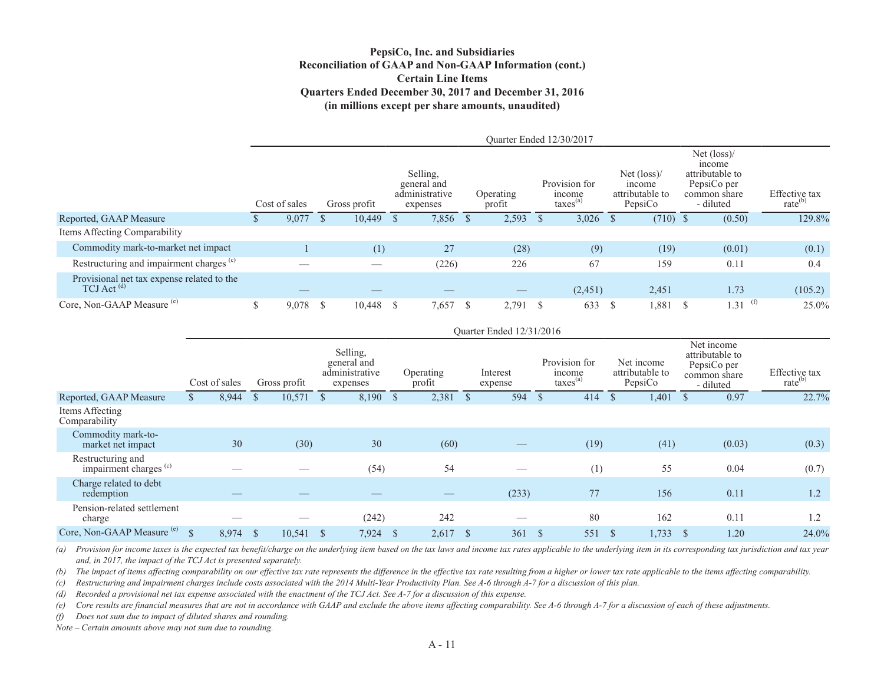#### **PepsiCo, Inc. and Subsidiaries Reconciliation of GAAP and Non-GAAP Information (cont.) Certain Line ItemsQuarters Ended December 30, 2017 and December 31, 2016 (in millions except per share amounts, unaudited)**

|                                                                      |               |              |                                                       |                     | Ouarter Ended 12/30/2017                        |      |                                                                     |                                                                                                |                                      |
|----------------------------------------------------------------------|---------------|--------------|-------------------------------------------------------|---------------------|-------------------------------------------------|------|---------------------------------------------------------------------|------------------------------------------------------------------------------------------------|--------------------------------------|
|                                                                      | Cost of sales | Gross profit | Selling,<br>general and<br>administrative<br>expenses | Operating<br>profit | Provision for<br>income<br>$\text{taxes}^{(a)}$ |      | Net $(\text{loss})$ /<br><i>ncome</i><br>attributable to<br>PepsiCo | Net $(\text{loss})$ /<br>income<br>attributable to<br>PepsiCo per<br>common share<br>- diluted | Effective tax<br>$\text{rate}^{(b)}$ |
| Reported, GAAP Measure                                               | 9,077         | 10,449       | 7,856 \$                                              | 2,593               | $3,026$ \$                                      |      | $(710)$ \$                                                          | (0.50)                                                                                         | 129.8%                               |
| Items Affecting Comparability                                        |               |              |                                                       |                     |                                                 |      |                                                                     |                                                                                                |                                      |
| Commodity mark-to-market net impact                                  |               | (1)          | 27                                                    | (28)                | (9)                                             |      | (19)                                                                | (0.01)                                                                                         | (0.1)                                |
| Restructuring and impairment charges <sup>(c)</sup>                  |               |              | (226)                                                 | 226                 | 67                                              |      | 159                                                                 | 0.11                                                                                           | 0.4                                  |
| Provisional net tax expense related to the<br>TCJ Act <sup>(d)</sup> |               |              |                                                       |                     | (2, 451)                                        |      | 2,451                                                               | 1.73                                                                                           | (105.2)                              |
| Core, Non-GAAP Measure <sup>(e)</sup>                                | 9,078 \$      | $10,448$ \$  | $7,657$ \$                                            | $2,791$ \$          | 633                                             | - \$ | 1,881                                                               | $1.31$ <sup>(f)</sup>                                                                          | 25.0%                                |

|                                             |               |               |               |              |    |                                                       |                     |      | Ouarter Ended 12/31/2016       |      |                                                        |                                          |                                                                           |                                      |
|---------------------------------------------|---------------|---------------|---------------|--------------|----|-------------------------------------------------------|---------------------|------|--------------------------------|------|--------------------------------------------------------|------------------------------------------|---------------------------------------------------------------------------|--------------------------------------|
|                                             |               | Cost of sales |               | Gross profit |    | Selling,<br>general and<br>administrative<br>expenses | Operating<br>profit |      | Interest<br>expense            |      | Provision for<br><i>n</i> come<br>taxes <sup>(a)</sup> | Net income<br>attributable to<br>PepsiCo | Net income<br>attributable to<br>PepsiCo per<br>common share<br>- diluted | Effective tax<br>$\text{rate}^{(b)}$ |
| Reported, GAAP Measure                      |               | 8,944         | $\mathbb{S}$  | 10,571       | -S | 8,190 \$                                              | 2,381               |      | 594                            |      | 414                                                    | 1,401                                    | 0.97                                                                      | 22.7%                                |
| Items Affecting<br>Comparability            |               |               |               |              |    |                                                       |                     |      |                                |      |                                                        |                                          |                                                                           |                                      |
| Commodity mark-to-<br>market net impact     |               | 30            |               | (30)         |    | 30                                                    | (60)                |      | $\overbrace{\hspace{25mm}}^{}$ |      | (19)                                                   | (41)                                     | (0.03)                                                                    | (0.3)                                |
| Restructuring and<br>impairment charges (c) |               |               |               |              |    | (54)                                                  | 54                  |      |                                |      | (1)                                                    | 55                                       | 0.04                                                                      | (0.7)                                |
| Charge related to debt<br>redemption        |               |               |               |              |    |                                                       |                     |      | (233)                          |      | 77                                                     | 156                                      | 0.11                                                                      | 1.2                                  |
| Pension-related settlement<br>charge        |               |               |               |              |    | (242)                                                 | 242                 |      |                                |      | 80                                                     | 162                                      | 0.11                                                                      | 1.2                                  |
| Core, Non-GAAP Measure (e)                  | $\mathcal{S}$ | 8,974         | $\mathcal{S}$ | 10,541       |    | 7,924                                                 | 2,617               | - \$ | 361                            | - \$ | 551                                                    | 1,733                                    | 1.20                                                                      | 24.0%                                |

(a) Provision for income taxes is the expected tax benefit/charge on the underlying item based on the tax laws and income tax rates applicable to the underlying item in its corresponding tax jurisdiction and tax year *and, in 2017, the impact of the TCJ Act is presented separately.*

*(b) The impact of items affecting comparability on our effective tax rate represents the difference in the effective tax rate resulting from a higher or lower tax rate applicable to the items affecting comparability.*

*(c) Restructuring and impairment charges include costs associated with the 2014 Multi-Year Productivity Plan. See A-6 through A-7 for a discussion of this plan.*

*(d) Recorded a provisional net tax expense associated with the enactment of the TCJ Act. See A-7 for a discussion of this expense.* 

*(e) Core results are financial measures that are not in accordance with GAAP and exclude the above items affecting comparability. See A-6 through A-7 for a discussion of each of these adjustments.*

*(f) Does not sum due to impact of diluted shares and rounding.*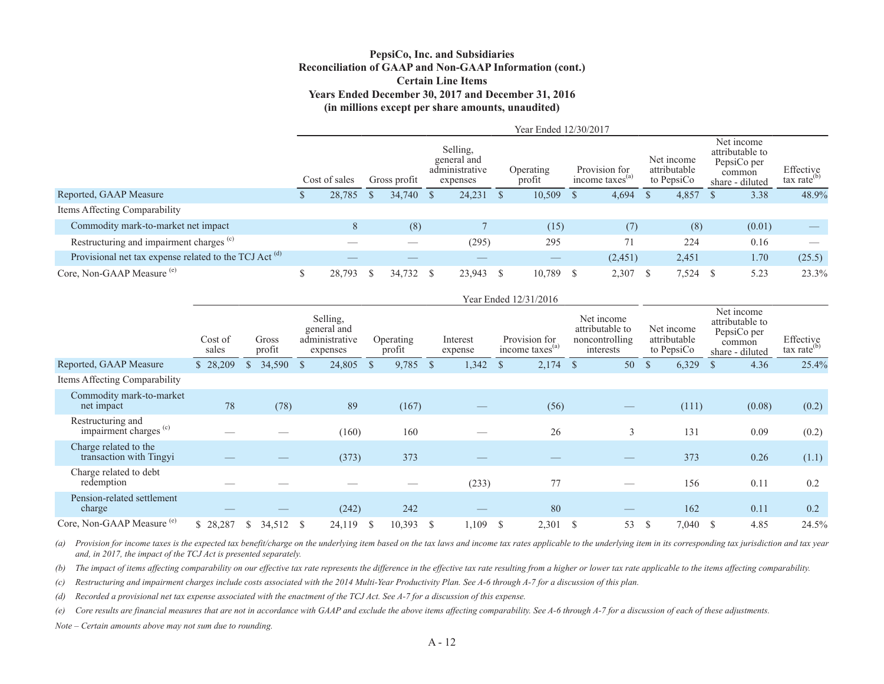### **PepsiCo, Inc. and Subsidiaries Reconciliation of GAAP and Non-GAAP Information (cont.) Certain Line Items Years Ended December 30, 2017 and December 31, 2016 (in millions except per share amounts, unaudited)**

|                                                                   |               |              |                                                       | Year Ended 12/30/2017 |               |                                              |                                          |                                                                           |                                      |
|-------------------------------------------------------------------|---------------|--------------|-------------------------------------------------------|-----------------------|---------------|----------------------------------------------|------------------------------------------|---------------------------------------------------------------------------|--------------------------------------|
|                                                                   | Cost of sales | Gross profit | Selling.<br>general and<br>administrative<br>expenses | Operating<br>profit   |               | Provision for<br>income taxes <sup>(a)</sup> | Net income<br>attributable<br>to PepsiCo | Net income<br>attributable to<br>PepsiCo per<br>common<br>share - diluted | Effective<br>tax rate <sup>(b)</sup> |
| Reported, GAAP Measure                                            | 28.785        | 34,740       | 24,231                                                | 10,509                | <sup>\$</sup> | 4,694                                        | 4,857                                    | 3.38                                                                      | 48.9%                                |
| Items Affecting Comparability                                     |               |              |                                                       |                       |               |                                              |                                          |                                                                           |                                      |
| Commodity mark-to-market net impact                               | 8             | (8)          |                                                       | (15)                  |               | (7)                                          | (8)                                      | (0.01)                                                                    |                                      |
| Restructuring and impairment charges <sup>(c)</sup>               |               |              | (295)                                                 | 295                   |               | 71                                           | 224                                      | 0.16                                                                      |                                      |
| Provisional net tax expense related to the TCJ Act <sup>(d)</sup> |               |              |                                                       | __                    |               | (2,451)                                      | 2,451                                    | 1.70                                                                      | (25.5)                               |
| Core, Non-GAAP Measure <sup>(e)</sup>                             | 28,793        | 34,732       | 23,943                                                | 10,789                | -S            | 2,307                                        | $7,524$ \$                               | 5.23                                                                      | 23.3%                                |

|                                                        |                  |                 |              |                                                       |              |                     |              |                     |               | Year Ended 12/31/2016                        |               |                                                              |               |                                          |                                                                           |        |                                      |
|--------------------------------------------------------|------------------|-----------------|--------------|-------------------------------------------------------|--------------|---------------------|--------------|---------------------|---------------|----------------------------------------------|---------------|--------------------------------------------------------------|---------------|------------------------------------------|---------------------------------------------------------------------------|--------|--------------------------------------|
|                                                        | Cost of<br>sales | Gross<br>profit |              | Selling,<br>general and<br>administrative<br>expenses |              | Operating<br>profit |              | Interest<br>expense |               | Provision for<br>income taxes <sup>(a)</sup> |               | Net income<br>attributable to<br>noncontrolling<br>interests |               | Net income<br>attributable<br>to PepsiCo | Net income<br>attributable to<br>PepsiCo per<br>common<br>share - diluted |        | Effective<br>$\text{tax rate}^{(b)}$ |
| Reported, GAAP Measure                                 | \$28,209         | 34,590          | <sup>S</sup> | 24,805                                                | <sup>S</sup> | 9,785               | $\mathbb{S}$ | 1,342               | <sup>\$</sup> | 2,174                                        | $\mathcal{S}$ | 50                                                           | $\mathcal{S}$ | 6,329                                    | $\mathbf{s}$                                                              | 4.36   | 25.4%                                |
| Items Affecting Comparability                          |                  |                 |              |                                                       |              |                     |              |                     |               |                                              |               |                                                              |               |                                          |                                                                           |        |                                      |
| Commodity mark-to-market<br>net impact                 | 78               | (78)            |              | 89                                                    |              | (167)               |              |                     |               | (56)                                         |               |                                                              |               | (111)                                    |                                                                           | (0.08) | (0.2)                                |
| Restructuring and<br>impairment charges <sup>(c)</sup> |                  |                 |              | (160)                                                 |              | 160                 |              |                     |               | 26                                           |               | 3                                                            |               | 131                                      |                                                                           | 0.09   | (0.2)                                |
| Charge related to the<br>transaction with Tingyi       |                  |                 |              | (373)                                                 |              | 373                 |              |                     |               |                                              |               |                                                              |               | 373                                      |                                                                           | 0.26   | (1.1)                                |
| Charge related to debt<br>redemption                   |                  |                 |              |                                                       |              |                     |              | (233)               |               | 77                                           |               |                                                              |               | 156                                      |                                                                           | 0.11   | 0.2                                  |
| Pension-related settlement<br>charge                   |                  |                 |              | (242)                                                 |              | 242                 |              |                     |               | 80                                           |               |                                                              |               | 162                                      |                                                                           | 0.11   | 0.2                                  |
| Core, Non-GAAP Measure <sup>(e)</sup>                  | \$28,287         | 34,512<br>S     | <sup>S</sup> | 24,119                                                | -S           | 10,393              | S            | 1,109               | <sup>\$</sup> | 2,301                                        | <sup>\$</sup> | 53                                                           | <sup>S</sup>  | 7,040                                    | <sup>S</sup>                                                              | 4.85   | 24.5%                                |

(a) Provision for income taxes is the expected tax benefit/charge on the underlying item based on the tax laws and income tax rates applicable to the underlying item in its corresponding tax jurisdiction and tax year *and, in 2017, the impact of the TCJ Act is presented separately.*

*(b) The impact of items affecting comparability on our effective tax rate represents the difference in the effective tax rate resulting from a higher or lower tax rate applicable to the items affecting comparability.*

*(c) Restructuring and impairment charges include costs associated with the 2014 Multi-Year Productivity Plan. See A-6 through A-7 for a discussion of this plan.*

*(d) Recorded a provisional net tax expense associated with the enactment of the TCJ Act. See A-7 for a discussion of this expense.* 

*(e) Core results are financial measures that are not in accordance with GAAP and exclude the above items affecting comparability. See A-6 through A-7 for a discussion of each of these adjustments.*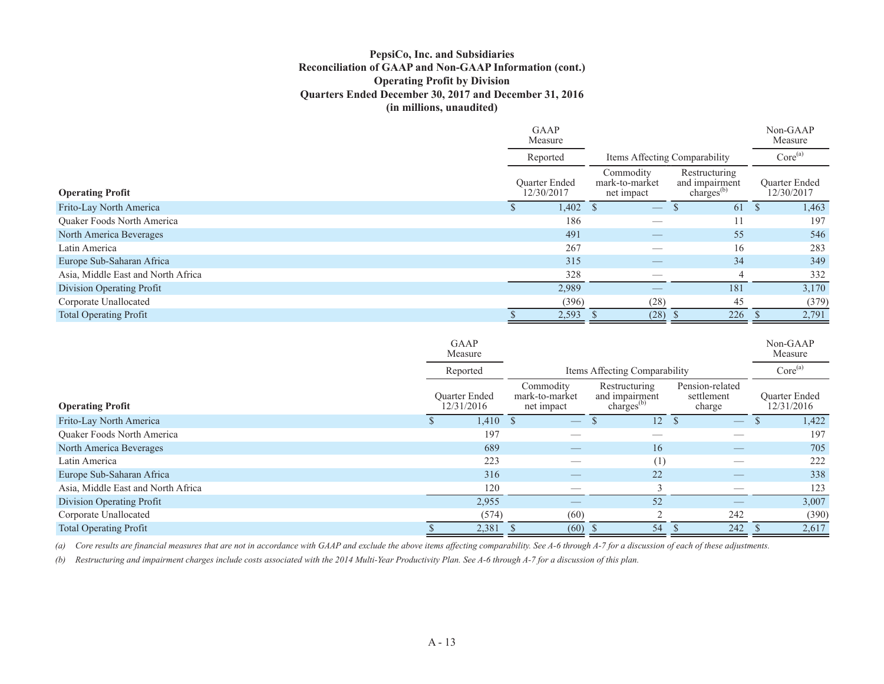## **PepsiCo, Inc. and Subsidiaries Reconciliation of GAAP and Non-GAAP Information (cont.) Operating Profit by Division Quarters Ended December 30, 2017 and December 31, 2016 (in millions, unaudited)**

|                                    | <b>GAAP</b><br>Measure             |                                           |                                                           | Non-GAAP<br>Measure                |       |
|------------------------------------|------------------------------------|-------------------------------------------|-----------------------------------------------------------|------------------------------------|-------|
|                                    | Reported                           | Items Affecting Comparability             |                                                           | Core <sup>(a)</sup>                |       |
| <b>Operating Profit</b>            | <b>Ouarter Ended</b><br>12/30/2017 | Commodity<br>mark-to-market<br>net impact | Restructuring<br>and impairment<br>charges <sup>(b)</sup> | <b>Ouarter Ended</b><br>12/30/2017 |       |
| Frito-Lay North America            | 1,402                              | $\hspace{0.1mm}-\hspace{0.1mm}$           | 61                                                        |                                    | 1,463 |
| Quaker Foods North America         | 186                                |                                           | 11                                                        |                                    | 197   |
| North America Beverages            | 491                                |                                           | 55                                                        |                                    | 546   |
| Latin America                      | 267                                | __                                        | 16                                                        |                                    | 283   |
| Europe Sub-Saharan Africa          | 315                                |                                           | 34                                                        |                                    | 349   |
| Asia, Middle East and North Africa | 328                                |                                           | $\overline{4}$                                            |                                    | 332   |
| Division Operating Profit          | 2,989                              |                                           | 181                                                       |                                    | 3,170 |
| Corporate Unallocated              | (396)                              | (28)                                      | 45                                                        |                                    | (379) |
| <b>Total Operating Profit</b>      | 2,593                              | (28)                                      | 226                                                       |                                    | 2,791 |

|                                    | GAAP<br>Measure                    |       |                                           |                                                     |                                         | Non-GAAP<br>Measure                |
|------------------------------------|------------------------------------|-------|-------------------------------------------|-----------------------------------------------------|-----------------------------------------|------------------------------------|
|                                    | Reported                           |       |                                           | Items Affecting Comparability                       |                                         | Core <sup>(a)</sup>                |
| <b>Operating Profit</b>            | <b>Ouarter Ended</b><br>12/31/2016 |       | Commodity<br>mark-to-market<br>net impact | Restructuring<br>and impairment<br>charges $^{(b)}$ | Pension-related<br>settlement<br>charge | <b>Ouarter Ended</b><br>12/31/2016 |
| Frito-Lay North America            |                                    | 1,410 |                                           | 12                                                  | $\overbrace{\phantom{aaaaa}}$           | 1,422                              |
| Quaker Foods North America         |                                    | 197   |                                           |                                                     |                                         | 197                                |
| North America Beverages            |                                    | 689   | $\qquad \qquad - \qquad$                  | 16                                                  | $\overbrace{\hspace{25mm}}^{}$          | 705                                |
| Latin America                      |                                    | 223   |                                           | (1)                                                 |                                         | 222                                |
| Europe Sub-Saharan Africa          |                                    | 316   |                                           | 22                                                  |                                         | 338                                |
| Asia, Middle East and North Africa |                                    | 120   |                                           |                                                     |                                         | 123                                |
| Division Operating Profit          |                                    | 2,955 |                                           | 52                                                  | $\overbrace{\hspace{25mm}}^{}$          | 3,007                              |
| Corporate Unallocated              |                                    | (574) | (60)                                      |                                                     | 242                                     | (390)                              |
| <b>Total Operating Profit</b>      |                                    | 2,381 | (60)                                      | 54                                                  | 242                                     | 2,617                              |

*(a) Core results are financial measures that are not in accordance with GAAP and exclude the above items affecting comparability. See A-6 through A-7 for a discussion of each of these adjustments.*

*(b) Restructuring and impairment charges include costs associated with the 2014 Multi-Year Productivity Plan. See A-6 through A-7 for a discussion of this plan.*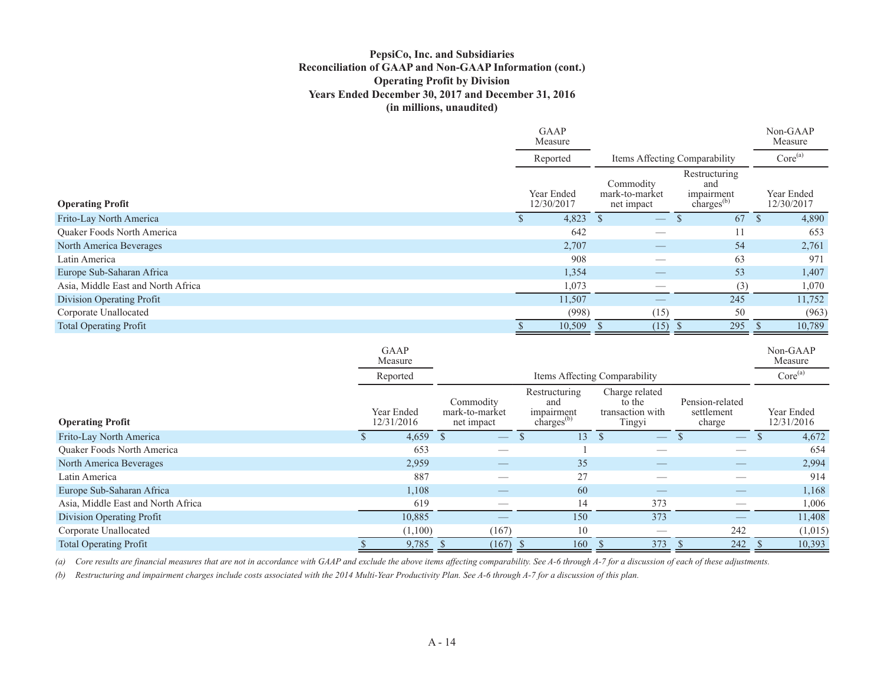## **PepsiCo, Inc. and Subsidiaries Reconciliation of GAAP and Non-GAAP Information (cont.) Operating Profit by Division Years Ended December 30, 2017 and December 31, 2016 (in millions, unaudited)**

|                                    |                        | <b>GAAP</b><br>Measure   |                                           |                                                              | Non-GAAP<br>Measure      |
|------------------------------------|------------------------|--------------------------|-------------------------------------------|--------------------------------------------------------------|--------------------------|
|                                    |                        | Reported                 |                                           | Items Affecting Comparability                                | Core <sup>(a)</sup>      |
| <b>Operating Profit</b>            |                        | Year Ended<br>12/30/2017 | Commodity<br>mark-to-market<br>net impact | Restructuring<br>and<br>impairment<br>charges <sup>(b)</sup> | Year Ended<br>12/30/2017 |
| Frito-Lay North America            |                        | 4,823                    | <sup>S</sup>                              | 67                                                           | 4,890                    |
| Quaker Foods North America         |                        | 642                      | $\overbrace{\phantom{12332}}$             | 11                                                           | 653                      |
| North America Beverages            |                        | 2,707                    | $\overline{\phantom{m}}$                  | 54                                                           | 2,761                    |
| Latin America                      |                        | 908                      | $\overbrace{\hspace{25mm}}^{}$            | 63                                                           | 971                      |
| Europe Sub-Saharan Africa          |                        | 1,354                    |                                           | 53                                                           | 1,407                    |
| Asia, Middle East and North Africa |                        | 1,073                    |                                           | (3)                                                          | 1,070                    |
| Division Operating Profit          |                        | 11,507                   |                                           | 245                                                          | 11,752                   |
| Corporate Unallocated              |                        | (998)                    | (15)                                      | 50                                                           | (963)                    |
| <b>Total Operating Profit</b>      |                        | 10,509                   | (15)                                      | 295<br>-S                                                    | 10,789                   |
|                                    | <b>GAAP</b><br>Measure |                          |                                           |                                                              | Non-GAAP<br>Measure      |
|                                    | Reported               |                          | Items Affecting Comparability             |                                                              | Core <sup>(a)</sup>      |

| <b>Operating Profit</b>            | Year Ended<br>12/31/2016 |              | Commodity<br>mark-to-market<br>net impact | Restructuring<br>and<br>impairment<br>$charges^{(b)}$ | Charge related<br>to the<br>transaction with<br>Tingyi | Pension-related<br>settlement<br>charge | Year Ended<br>12/31/2016 |
|------------------------------------|--------------------------|--------------|-------------------------------------------|-------------------------------------------------------|--------------------------------------------------------|-----------------------------------------|--------------------------|
| Frito-Lay North America            | 4,659                    | $\mathbf{S}$ | $\overbrace{\phantom{aaaaa}}$             | $\overline{3}$                                        | $\overline{\phantom{m}}$                               | $\overline{\phantom{m}}$                | 4,672                    |
| Quaker Foods North America         | 653                      |              |                                           |                                                       |                                                        |                                         | 654                      |
| North America Beverages            | 2,959                    |              | __                                        | 35                                                    | --                                                     | __                                      | 2,994                    |
| Latin America                      | 887                      |              |                                           | 27                                                    |                                                        |                                         | 914                      |
| Europe Sub-Saharan Africa          | 1.108                    |              |                                           | 60                                                    |                                                        |                                         | 1,168                    |
| Asia, Middle East and North Africa | 619                      |              |                                           | 14                                                    | 373                                                    |                                         | 1,006                    |
| Division Operating Profit          | 10,885                   |              |                                           | 150                                                   | 373                                                    |                                         | 11,408                   |
| Corporate Unallocated              | (1,100)                  |              | (167)                                     | 10                                                    |                                                        | 242                                     | (1,015)                  |
| <b>Total Operating Profit</b>      | 9,785                    |              | (167)                                     | 160                                                   | 373                                                    | 242                                     | 10,393                   |

*(a) Core results are financial measures that are not in accordance with GAAP and exclude the above items affecting comparability. See A-6 through A-7 for a discussion of each of these adjustments.*

*(b) Restructuring and impairment charges include costs associated with the 2014 Multi-Year Productivity Plan. See A-6 through A-7 for a discussion of this plan.*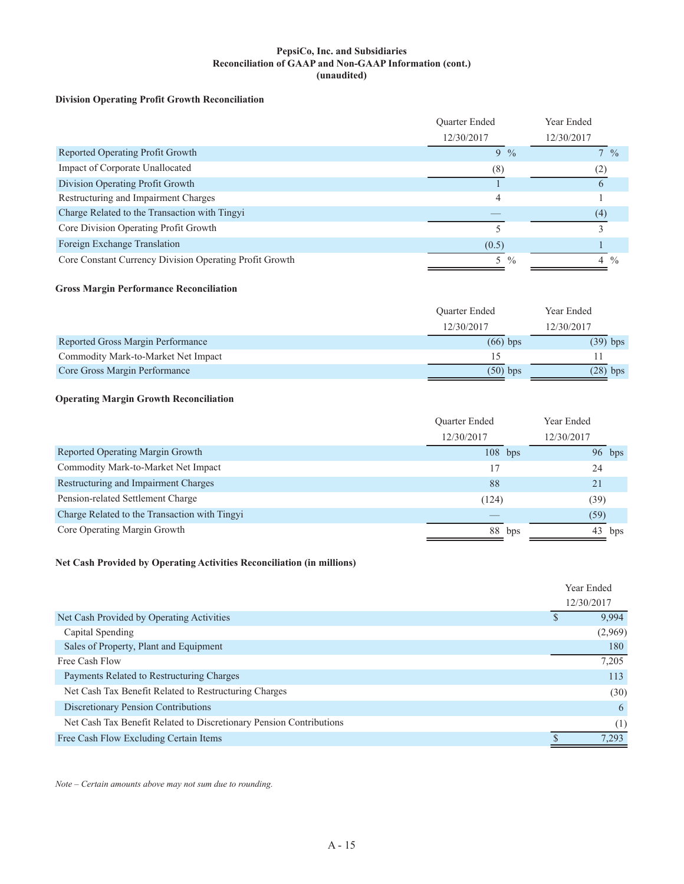#### **PepsiCo, Inc. and Subsidiaries Reconciliation of GAAP and Non-GAAP Information (cont.) (unaudited)**

#### **Division Operating Profit Growth Reconciliation**

|                                                         | <b>Ouarter Ended</b> | Year Ended         |
|---------------------------------------------------------|----------------------|--------------------|
|                                                         | 12/30/2017           | 12/30/2017         |
| Reported Operating Profit Growth                        | $9\%$                | $7\frac{9}{6}$     |
| Impact of Corporate Unallocated                         | (8)                  | (2)                |
| Division Operating Profit Growth                        |                      |                    |
| Restructuring and Impairment Charges                    | 4                    |                    |
| Charge Related to the Transaction with Tingyi           |                      | (4)                |
| Core Division Operating Profit Growth                   |                      |                    |
| Foreign Exchange Translation                            | (0.5)                |                    |
| Core Constant Currency Division Operating Profit Growth | 5 %                  | $\frac{0}{0}$<br>4 |

#### **Gross Margin Performance Reconciliation**

|                                     | <b>Ouarter Ended</b> | Year Ended |
|-------------------------------------|----------------------|------------|
|                                     | 12/30/2017           | 12/30/2017 |
| Reported Gross Margin Performance   | $(66)$ bps           | $(39)$ bps |
| Commodity Mark-to-Market Net Impact | 15                   |            |
| Core Gross Margin Performance       | $(50)$ bps           | $(28)$ bps |

#### **Operating Margin Growth Reconciliation**

|                                               | <b>Ouarter Ended</b> |     | Year Ended |  |
|-----------------------------------------------|----------------------|-----|------------|--|
|                                               | 12/30/2017           |     | 12/30/2017 |  |
| Reported Operating Margin Growth              | $108$ bps            |     | $96$ bps   |  |
| Commodity Mark-to-Market Net Impact           | 17                   |     | 24         |  |
| Restructuring and Impairment Charges          | 88                   |     | 21         |  |
| Pension-related Settlement Charge             | (124)                |     | (39)       |  |
| Charge Related to the Transaction with Tingyi |                      |     | (59)       |  |
| Core Operating Margin Growth                  | 88                   | bps | 43<br>bps  |  |

#### **Net Cash Provided by Operating Activities Reconciliation (in millions)**

|                                                                     | Year Ended |         |
|---------------------------------------------------------------------|------------|---------|
|                                                                     | 12/30/2017 |         |
| Net Cash Provided by Operating Activities                           |            | 9,994   |
| Capital Spending                                                    |            | (2,969) |
| Sales of Property, Plant and Equipment                              |            | 180     |
| Free Cash Flow                                                      |            | 7,205   |
| Payments Related to Restructuring Charges                           |            | 113     |
| Net Cash Tax Benefit Related to Restructuring Charges               |            | (30)    |
| Discretionary Pension Contributions                                 |            | 6       |
| Net Cash Tax Benefit Related to Discretionary Pension Contributions |            | (1)     |
| Free Cash Flow Excluding Certain Items                              |            | 7.293   |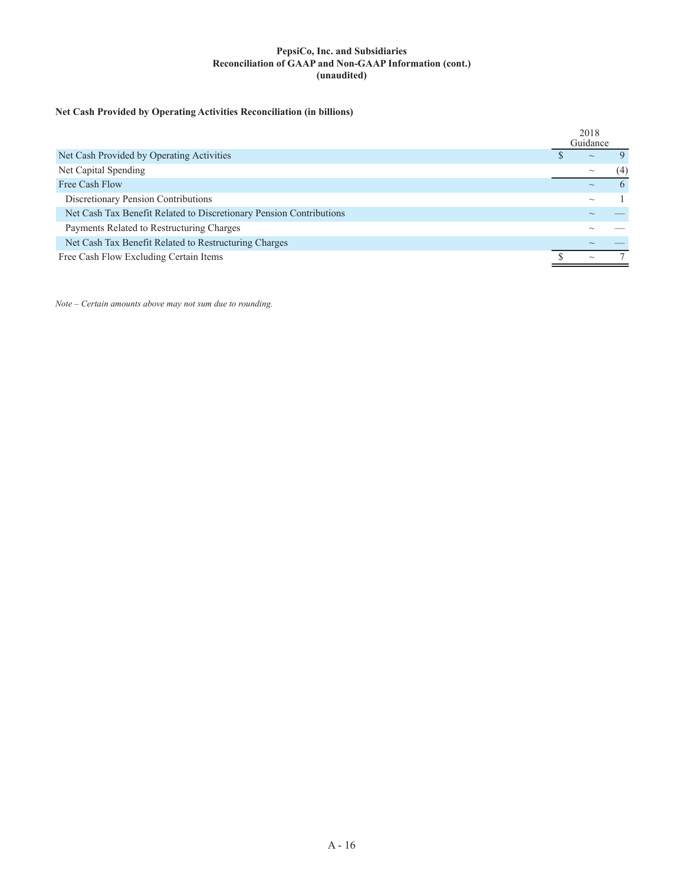#### **PepsiCo, Inc. and Subsidiaries Reconciliation of GAAP and Non-GAAP Information (cont.) (unaudited)**

## **Net Cash Provided by Operating Activities Reconciliation (in billions)**

|                                                                     | 2018<br>Guidance |                           |    |
|---------------------------------------------------------------------|------------------|---------------------------|----|
| Net Cash Provided by Operating Activities                           |                  | $\sim$                    |    |
| Net Capital Spending                                                |                  | $\widetilde{\phantom{m}}$ | (4 |
| Free Cash Flow                                                      |                  |                           |    |
| Discretionary Pension Contributions                                 |                  | $\widetilde{\phantom{m}}$ |    |
| Net Cash Tax Benefit Related to Discretionary Pension Contributions |                  |                           |    |
| Payments Related to Restructuring Charges                           |                  |                           |    |
| Net Cash Tax Benefit Related to Restructuring Charges               |                  |                           |    |
| Free Cash Flow Excluding Certain Items                              |                  | $\sim$                    |    |